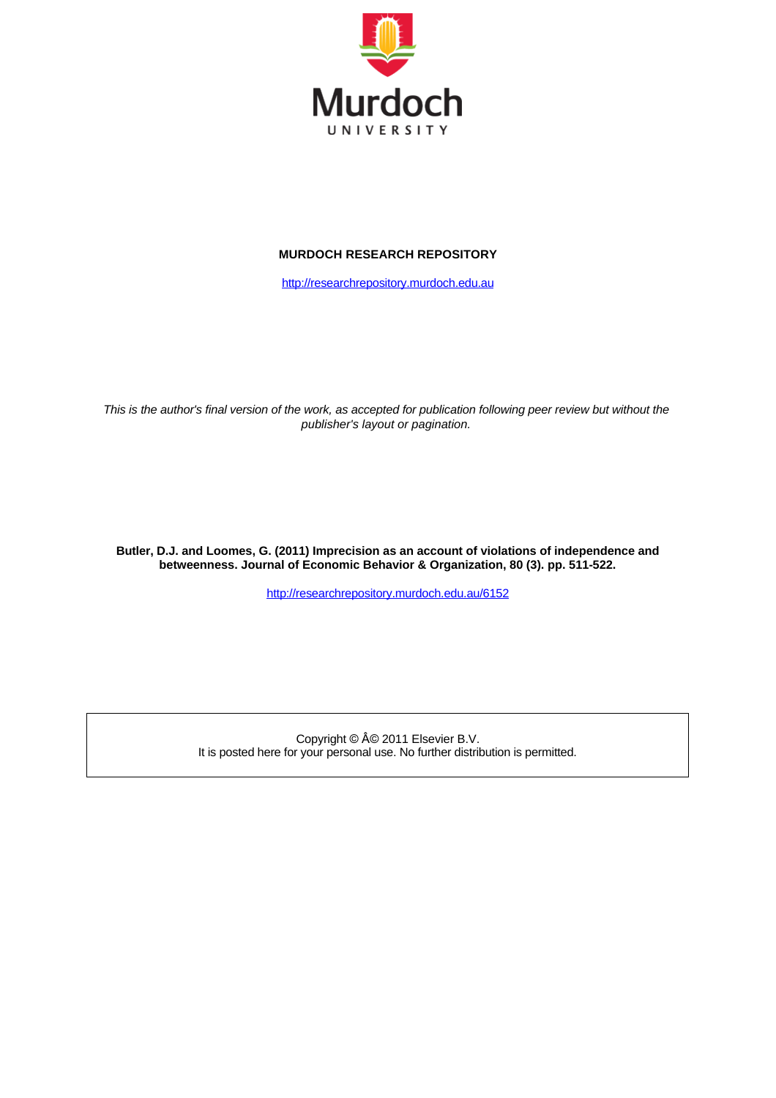

### **MURDOCH RESEARCH REPOSITORY**

[http://researchrepository.murdoch.edu.au](http://researchrepository.murdoch.edu.au/)

*This is the author's final version of the work, as accepted for publication following peer review but without the publisher's layout or pagination.*

**Butler, D.J. and Loomes, G. (2011) Imprecision as an account of violations of independence and betweenness. Journal of Economic Behavior & Organization, 80 (3). pp. 511-522.**

<http://researchrepository.murdoch.edu.au/6152>

Copyright © © 2011 Elsevier B.V. It is posted here for your personal use. No further distribution is permitted.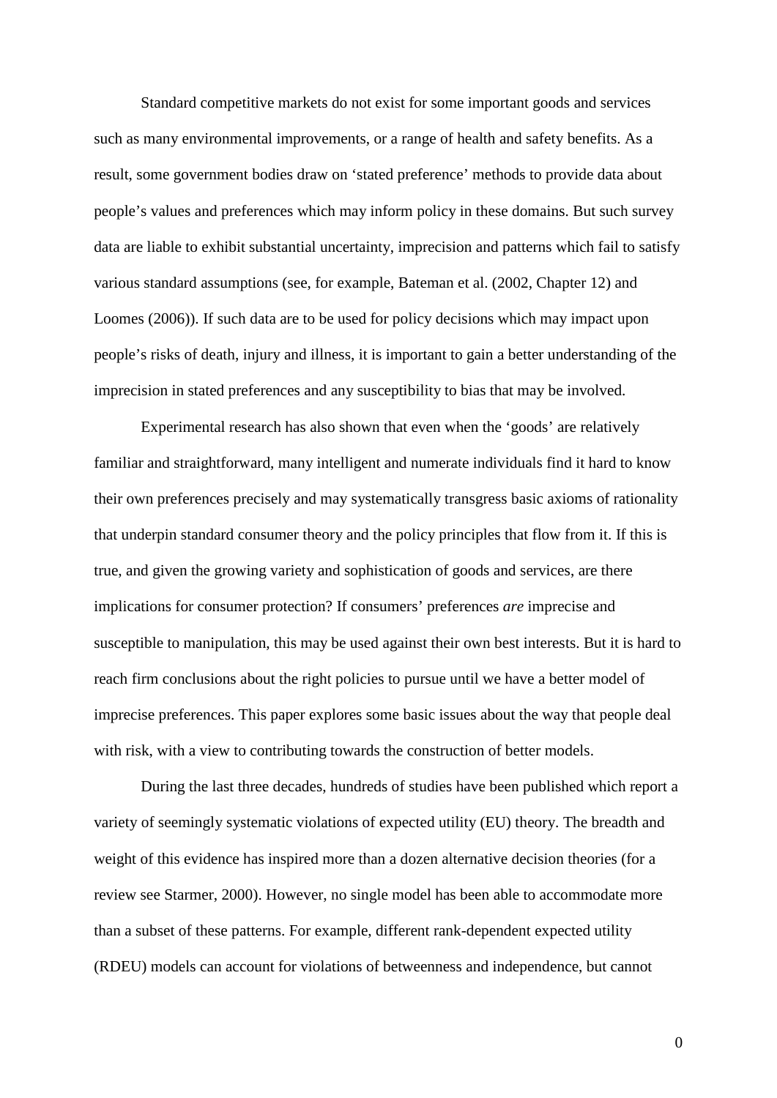Standard competitive markets do not exist for some important goods and services such as many environmental improvements, or a range of health and safety benefits. As a result, some government bodies draw on 'stated preference' methods to provide data about people's values and preferences which may inform policy in these domains. But such survey data are liable to exhibit substantial uncertainty, imprecision and patterns which fail to satisfy various standard assumptions (see, for example, Bateman et al. (2002, Chapter 12) and Loomes (2006)). If such data are to be used for policy decisions which may impact upon people's risks of death, injury and illness, it is important to gain a better understanding of the imprecision in stated preferences and any susceptibility to bias that may be involved.

Experimental research has also shown that even when the 'goods' are relatively familiar and straightforward, many intelligent and numerate individuals find it hard to know their own preferences precisely and may systematically transgress basic axioms of rationality that underpin standard consumer theory and the policy principles that flow from it. If this is true, and given the growing variety and sophistication of goods and services, are there implications for consumer protection? If consumers' preferences *are* imprecise and susceptible to manipulation, this may be used against their own best interests. But it is hard to reach firm conclusions about the right policies to pursue until we have a better model of imprecise preferences. This paper explores some basic issues about the way that people deal with risk, with a view to contributing towards the construction of better models.

During the last three decades, hundreds of studies have been published which report a variety of seemingly systematic violations of expected utility (EU) theory. The breadth and weight of this evidence has inspired more than a dozen alternative decision theories (for a review see Starmer, 2000). However, no single model has been able to accommodate more than a subset of these patterns. For example, different rank-dependent expected utility (RDEU) models can account for violations of betweenness and independence, but cannot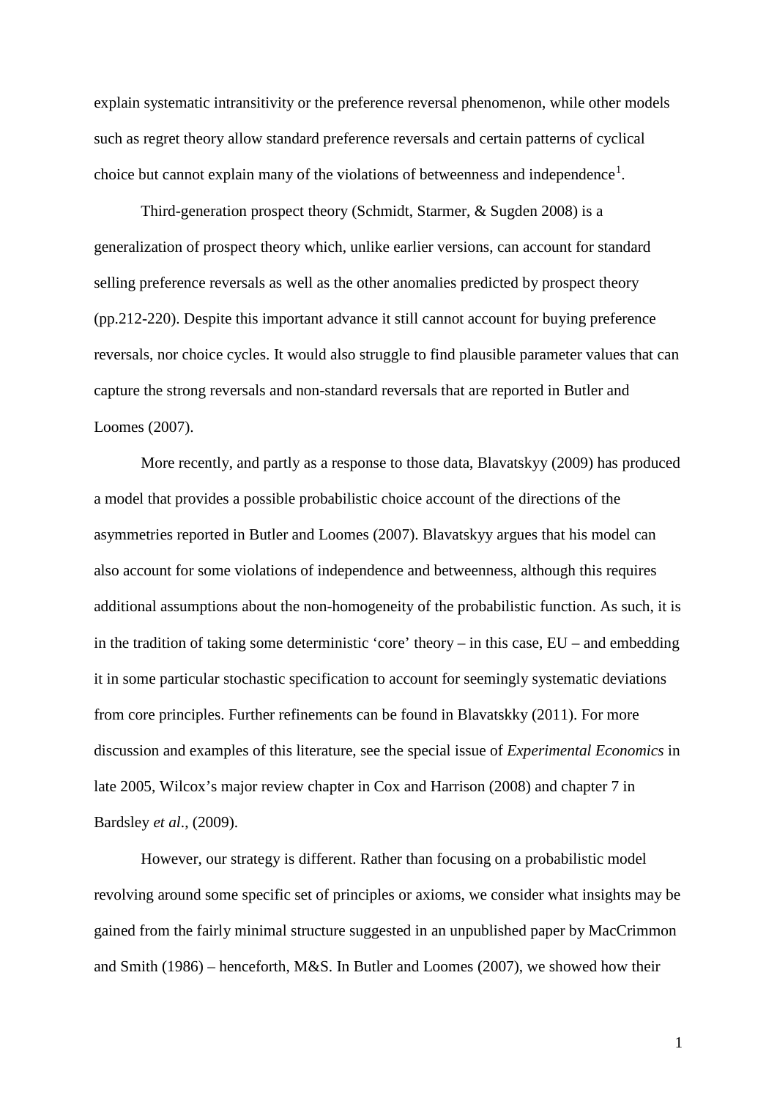explain systematic intransitivity or the preference reversal phenomenon, while other models such as regret theory allow standard preference reversals and certain patterns of cyclical choice but cannot explain many of the violations of betweenness and independence<sup>[1](#page-25-0)</sup>.

Third-generation prospect theory (Schmidt, Starmer, & Sugden 2008) is a generalization of prospect theory which, unlike earlier versions, can account for standard selling preference reversals as well as the other anomalies predicted by prospect theory (pp.212-220). Despite this important advance it still cannot account for buying preference reversals, nor choice cycles. It would also struggle to find plausible parameter values that can capture the strong reversals and non-standard reversals that are reported in Butler and Loomes (2007).

More recently, and partly as a response to those data, Blavatskyy (2009) has produced a model that provides a possible probabilistic choice account of the directions of the asymmetries reported in Butler and Loomes (2007). Blavatskyy argues that his model can also account for some violations of independence and betweenness, although this requires additional assumptions about the non-homogeneity of the probabilistic function. As such, it is in the tradition of taking some deterministic 'core' theory – in this case, EU – and embedding it in some particular stochastic specification to account for seemingly systematic deviations from core principles. Further refinements can be found in Blavatskky (2011). For more discussion and examples of this literature, see the special issue of *Experimental Economics* in late 2005, Wilcox's major review chapter in Cox and Harrison (2008) and chapter 7 in Bardsley *et al*., (2009).

However, our strategy is different. Rather than focusing on a probabilistic model revolving around some specific set of principles or axioms, we consider what insights may be gained from the fairly minimal structure suggested in an unpublished paper by MacCrimmon and Smith (1986) – henceforth, M&S. In Butler and Loomes (2007), we showed how their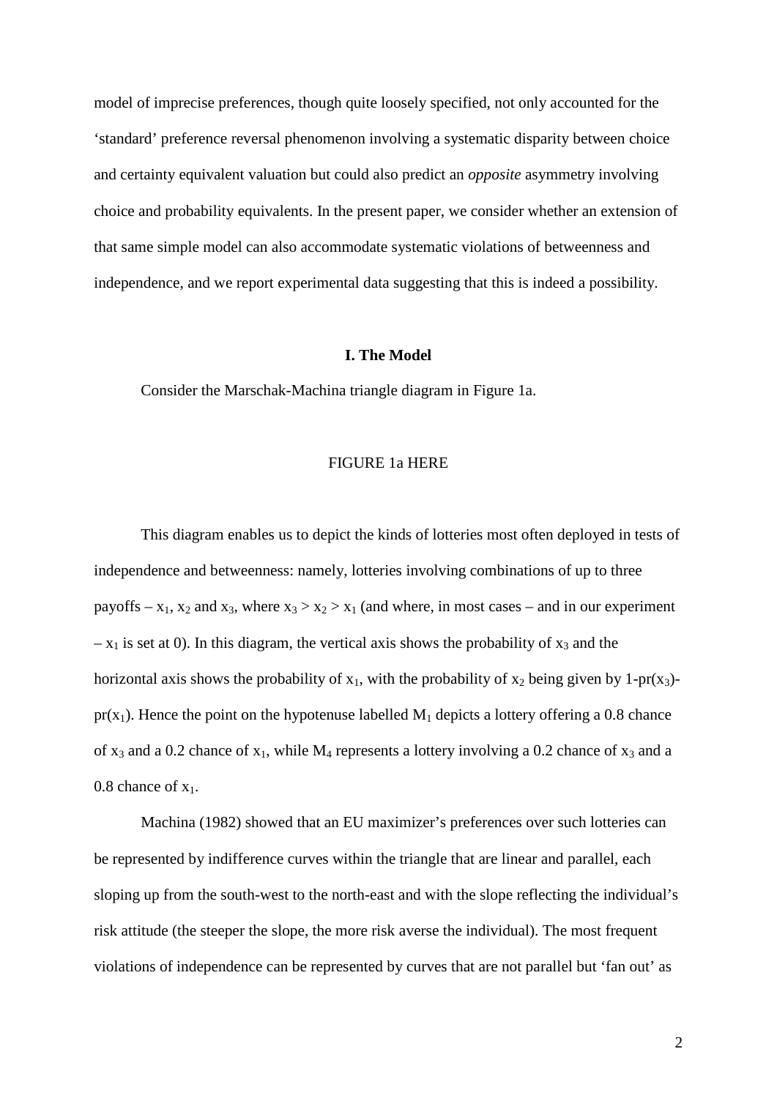model of imprecise preferences, though quite loosely specified, not only accounted for the 'standard' preference reversal phenomenon involving a systematic disparity between choice and certainty equivalent valuation but could also predict an *opposite* asymmetry involving choice and probability equivalents. In the present paper, we consider whether an extension of that same simple model can also accommodate systematic violations of betweenness and independence, and we report experimental data suggesting that this is indeed a possibility.

### **I. The Model**

Consider the Marschak-Machina triangle diagram in Figure 1a.

# FIGURE 1a HERE

This diagram enables us to depict the kinds of lotteries most often deployed in tests of independence and betweenness: namely, lotteries involving combinations of up to three payoffs –  $x_1$ ,  $x_2$  and  $x_3$ , where  $x_3 > x_2 > x_1$  (and where, in most cases – and in our experiment  $- x_1$  is set at 0). In this diagram, the vertical axis shows the probability of  $x_3$  and the horizontal axis shows the probability of  $x_1$ , with the probability of  $x_2$  being given by 1-pr( $x_3$ ) $pr(x_1)$ . Hence the point on the hypotenuse labelled  $M_1$  depicts a lottery offering a 0.8 chance of  $x_3$  and a 0.2 chance of  $x_1$ , while  $M_4$  represents a lottery involving a 0.2 chance of  $x_3$  and a 0.8 chance of  $x_1$ .

Machina (1982) showed that an EU maximizer's preferences over such lotteries can be represented by indifference curves within the triangle that are linear and parallel, each sloping up from the south-west to the north-east and with the slope reflecting the individual's risk attitude (the steeper the slope, the more risk averse the individual). The most frequent violations of independence can be represented by curves that are not parallel but 'fan out' as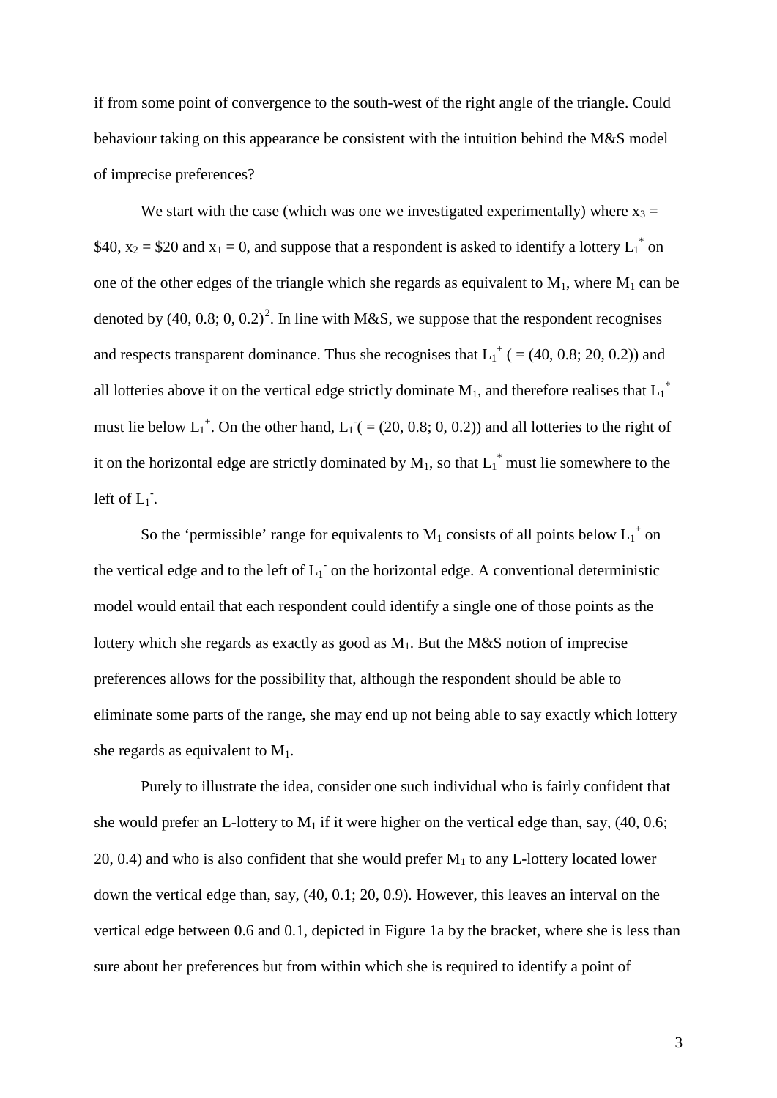if from some point of convergence to the south-west of the right angle of the triangle. Could behaviour taking on this appearance be consistent with the intuition behind the M&S model of imprecise preferences?

We start with the case (which was one we investigated experimentally) where  $x_3 =$ \$40,  $x_2 = $20$  and  $x_1 = 0$ , and suppose that a respondent is asked to identify a lottery  $L_1^*$  on one of the other edges of the triangle which she regards as equivalent to  $M_1$ , where  $M_1$  can be denoted by (40, 0.8; 0, 0.[2](#page-25-1))<sup>2</sup>. In line with M&S, we suppose that the respondent recognises and respects transparent dominance. Thus she recognises that  $L_1^+$  ( = (40, 0.8; 20, 0.2)) and all lotteries above it on the vertical edge strictly dominate  $M_1$ , and therefore realises that  $L_1^*$ must lie below  $L_1^+$ . On the other hand,  $L_1^- (= (20, 0.8; 0, 0.2))$  and all lotteries to the right of it on the horizontal edge are strictly dominated by  $M_1$ , so that  $L_1^*$  must lie somewhere to the left of  $L_1$ <sup>-</sup>.

So the 'permissible' range for equivalents to  $M_1$  consists of all points below  $L_1^+$  on the vertical edge and to the left of  $L_1^-$  on the horizontal edge. A conventional deterministic model would entail that each respondent could identify a single one of those points as the lottery which she regards as exactly as good as  $M_1$ . But the M&S notion of imprecise preferences allows for the possibility that, although the respondent should be able to eliminate some parts of the range, she may end up not being able to say exactly which lottery she regards as equivalent to  $M_1$ .

Purely to illustrate the idea, consider one such individual who is fairly confident that she would prefer an L-lottery to  $M_1$  if it were higher on the vertical edge than, say, (40, 0.6; 20, 0.4) and who is also confident that she would prefer  $M_1$  to any L-lottery located lower down the vertical edge than, say, (40, 0.1; 20, 0.9). However, this leaves an interval on the vertical edge between 0.6 and 0.1, depicted in Figure 1a by the bracket, where she is less than sure about her preferences but from within which she is required to identify a point of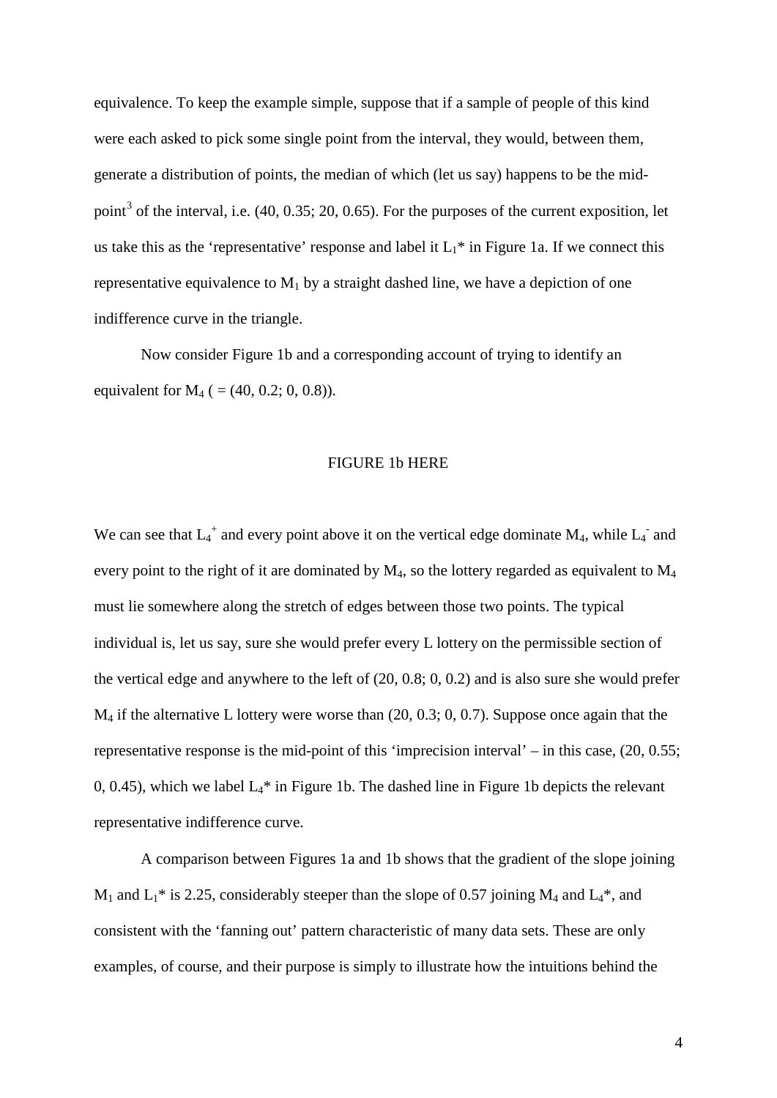equivalence. To keep the example simple, suppose that if a sample of people of this kind were each asked to pick some single point from the interval, they would, between them, generate a distribution of points, the median of which (let us say) happens to be the mid-point<sup>[3](#page-25-2)</sup> of the interval, i.e.  $(40, 0.35; 20, 0.65)$ . For the purposes of the current exposition, let us take this as the 'representative' response and label it  $L_1^*$  in Figure 1a. If we connect this representative equivalence to  $M_1$  by a straight dashed line, we have a depiction of one indifference curve in the triangle.

Now consider Figure 1b and a corresponding account of trying to identify an equivalent for  $M_4$  ( = (40, 0.2; 0, 0.8)).

# FIGURE 1b HERE

We can see that  $L_4^+$  and every point above it on the vertical edge dominate  $M_4$ , while  $L_4^-$  and every point to the right of it are dominated by  $M_4$ , so the lottery regarded as equivalent to  $M_4$ must lie somewhere along the stretch of edges between those two points. The typical individual is, let us say, sure she would prefer every L lottery on the permissible section of the vertical edge and anywhere to the left of (20, 0.8; 0, 0.2) and is also sure she would prefer M4 if the alternative L lottery were worse than (20, 0.3; 0, 0.7). Suppose once again that the representative response is the mid-point of this 'imprecision interval' – in this case, (20, 0.55; 0, 0.45), which we label  $L_4^*$  in Figure 1b. The dashed line in Figure 1b depicts the relevant representative indifference curve.

A comparison between Figures 1a and 1b shows that the gradient of the slope joining  $M_1$  and  $L_1$ <sup>\*</sup> is 2.25, considerably steeper than the slope of 0.57 joining  $M_4$  and  $L_4$ <sup>\*</sup>, and consistent with the 'fanning out' pattern characteristic of many data sets. These are only examples, of course, and their purpose is simply to illustrate how the intuitions behind the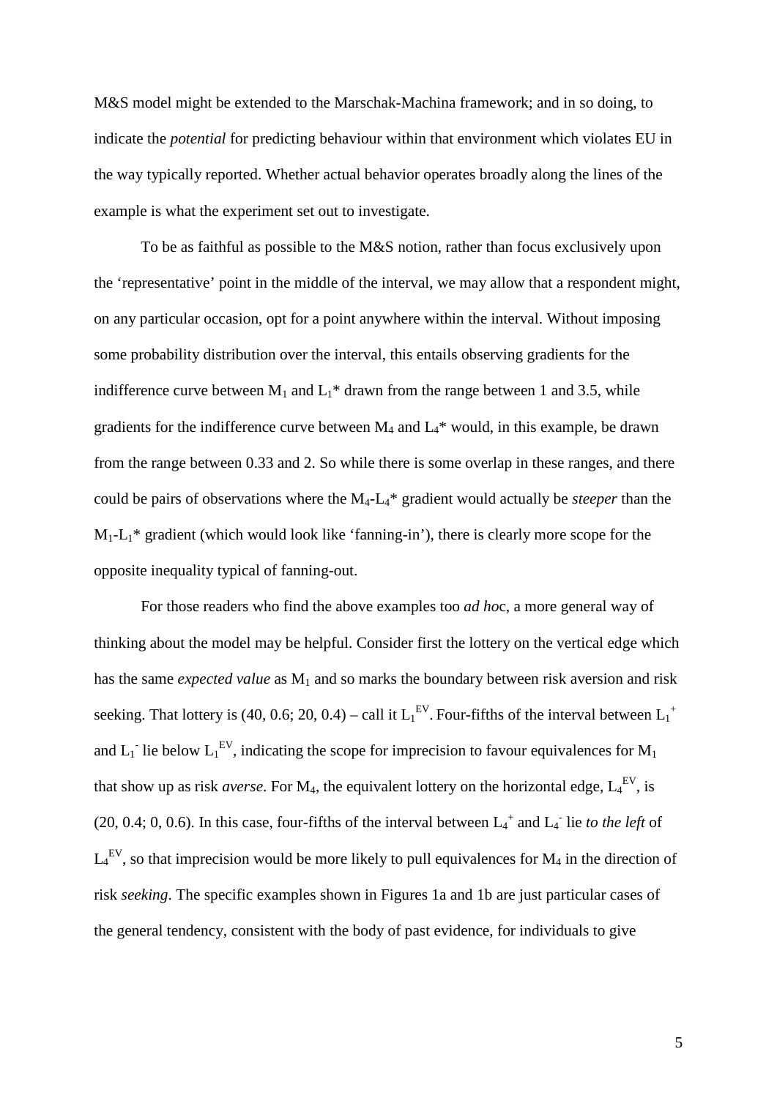M&S model might be extended to the Marschak-Machina framework; and in so doing, to indicate the *potential* for predicting behaviour within that environment which violates EU in the way typically reported. Whether actual behavior operates broadly along the lines of the example is what the experiment set out to investigate.

To be as faithful as possible to the M&S notion, rather than focus exclusively upon the 'representative' point in the middle of the interval, we may allow that a respondent might, on any particular occasion, opt for a point anywhere within the interval. Without imposing some probability distribution over the interval, this entails observing gradients for the indifference curve between  $M_1$  and  $L_1^*$  drawn from the range between 1 and 3.5, while gradients for the indifference curve between  $M_4$  and  $L_4^*$  would, in this example, be drawn from the range between 0.33 and 2. So while there is some overlap in these ranges, and there could be pairs of observations where the M4-L4\* gradient would actually be *steeper* than the  $M_1-L_1^*$  gradient (which would look like 'fanning-in'), there is clearly more scope for the opposite inequality typical of fanning-out.

For those readers who find the above examples too *ad ho*c, a more general way of thinking about the model may be helpful. Consider first the lottery on the vertical edge which has the same *expected value* as  $M_1$  and so marks the boundary between risk aversion and risk seeking. That lottery is (40, 0.6; 20, 0.4) – call it  $L_1^{EV}$ . Four-fifths of the interval between  $L_1^+$ and  $L_1$ <sup>-</sup> lie below  $L_1^{EV}$ , indicating the scope for imprecision to favour equivalences for  $M_1$ that show up as risk *averse*. For  $M_4$ , the equivalent lottery on the horizontal edge,  $L_4^{EV}$ , is  $(20, 0.4; 0, 0.6)$ . In this case, four-fifths of the interval between  $L_4^+$  and  $L_4^-$  lie *to the left* of  $L_4^{\text{EV}}$ , so that imprecision would be more likely to pull equivalences for  $M_4$  in the direction of risk *seeking*. The specific examples shown in Figures 1a and 1b are just particular cases of the general tendency, consistent with the body of past evidence, for individuals to give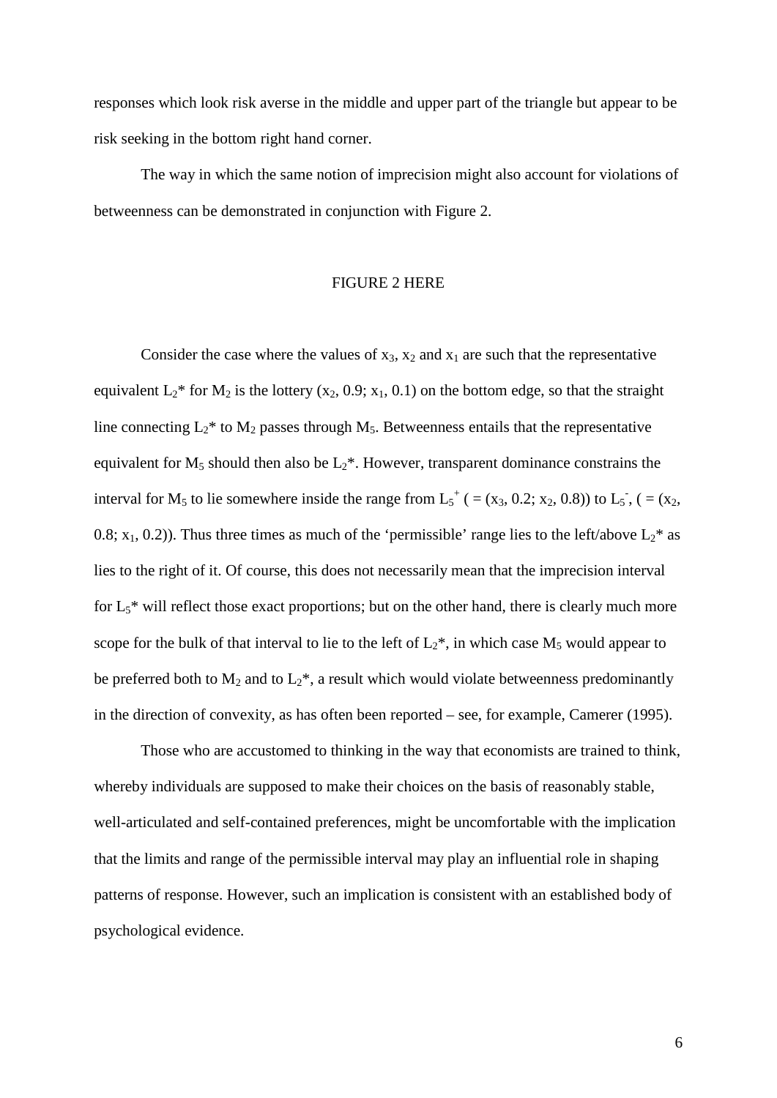responses which look risk averse in the middle and upper part of the triangle but appear to be risk seeking in the bottom right hand corner.

The way in which the same notion of imprecision might also account for violations of betweenness can be demonstrated in conjunction with Figure 2.

# FIGURE 2 HERE

Consider the case where the values of  $x_3$ ,  $x_2$  and  $x_1$  are such that the representative equivalent  $L_2^*$  for  $M_2$  is the lottery (x<sub>2</sub>, 0.9; x<sub>1</sub>, 0.1) on the bottom edge, so that the straight line connecting  $L_2^*$  to  $M_2$  passes through  $M_5$ . Betweenness entails that the representative equivalent for  $M_5$  should then also be  $L_2^*$ . However, transparent dominance constrains the interval for M<sub>5</sub> to lie somewhere inside the range from  $L_5^+$  ( = (x<sub>3</sub>, 0.2; x<sub>2</sub>, 0.8)) to  $L_5$ <sup>2</sup>, ( = (x<sub>2</sub>, 0.8;  $x_1$ , 0.2)). Thus three times as much of the 'permissible' range lies to the left/above  $L_2^*$  as lies to the right of it. Of course, this does not necessarily mean that the imprecision interval for  $L_5$ <sup>\*</sup> will reflect those exact proportions; but on the other hand, there is clearly much more scope for the bulk of that interval to lie to the left of  $L_2^*$ , in which case  $M_5$  would appear to be preferred both to  $M_2$  and to  $L_2^*$ , a result which would violate betweenness predominantly in the direction of convexity, as has often been reported – see, for example, Camerer (1995).

Those who are accustomed to thinking in the way that economists are trained to think, whereby individuals are supposed to make their choices on the basis of reasonably stable, well-articulated and self-contained preferences, might be uncomfortable with the implication that the limits and range of the permissible interval may play an influential role in shaping patterns of response. However, such an implication is consistent with an established body of psychological evidence.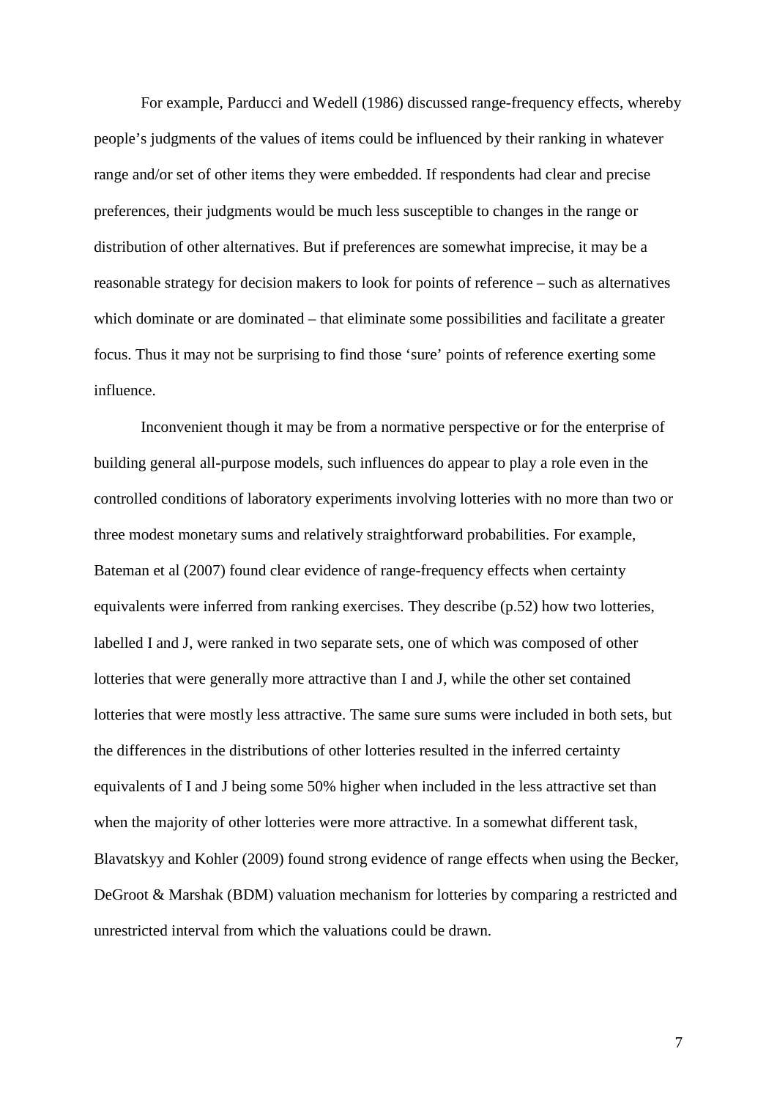For example, Parducci and Wedell (1986) discussed range-frequency effects, whereby people's judgments of the values of items could be influenced by their ranking in whatever range and/or set of other items they were embedded. If respondents had clear and precise preferences, their judgments would be much less susceptible to changes in the range or distribution of other alternatives. But if preferences are somewhat imprecise, it may be a reasonable strategy for decision makers to look for points of reference – such as alternatives which dominate or are dominated – that eliminate some possibilities and facilitate a greater focus. Thus it may not be surprising to find those 'sure' points of reference exerting some influence.

Inconvenient though it may be from a normative perspective or for the enterprise of building general all-purpose models, such influences do appear to play a role even in the controlled conditions of laboratory experiments involving lotteries with no more than two or three modest monetary sums and relatively straightforward probabilities. For example, Bateman et al (2007) found clear evidence of range-frequency effects when certainty equivalents were inferred from ranking exercises. They describe (p.52) how two lotteries, labelled I and J, were ranked in two separate sets, one of which was composed of other lotteries that were generally more attractive than I and J, while the other set contained lotteries that were mostly less attractive. The same sure sums were included in both sets, but the differences in the distributions of other lotteries resulted in the inferred certainty equivalents of I and J being some 50% higher when included in the less attractive set than when the majority of other lotteries were more attractive. In a somewhat different task, Blavatskyy and Kohler (2009) found strong evidence of range effects when using the Becker, DeGroot & Marshak (BDM) valuation mechanism for lotteries by comparing a restricted and unrestricted interval from which the valuations could be drawn.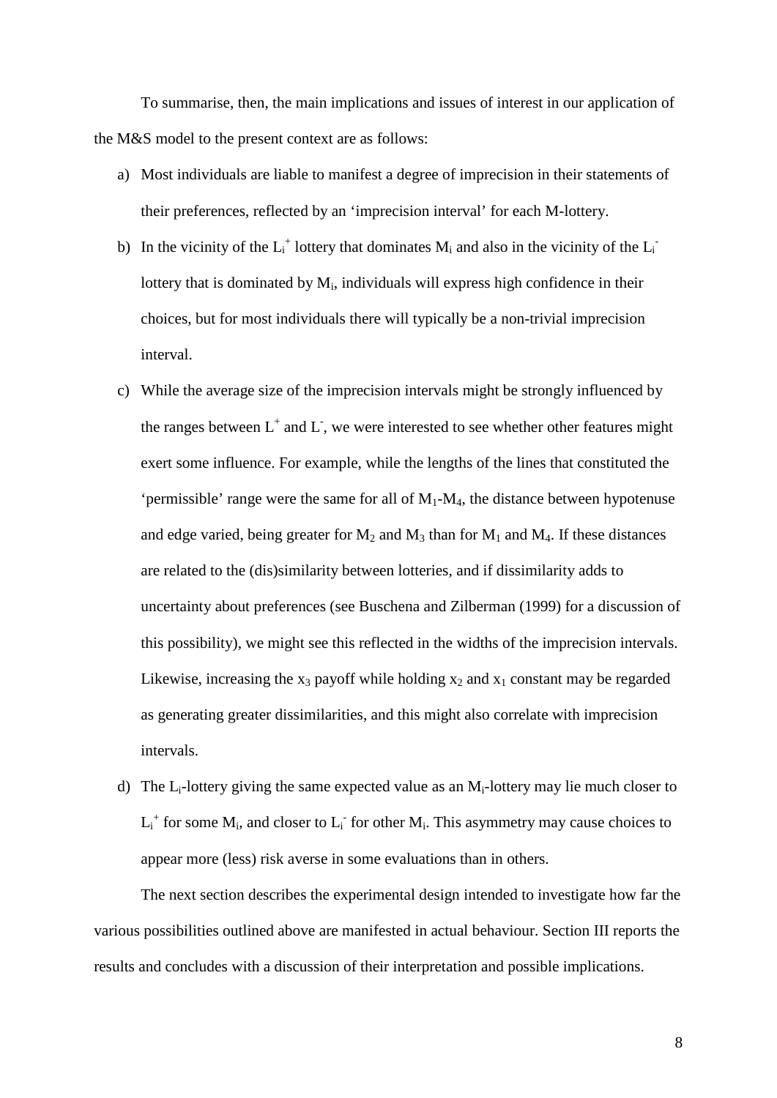To summarise, then, the main implications and issues of interest in our application of the M&S model to the present context are as follows:

- a) Most individuals are liable to manifest a degree of imprecision in their statements of their preferences, reflected by an 'imprecision interval' for each M-lottery.
- b) In the vicinity of the  $L_i^+$  lottery that dominates  $M_i$  and also in the vicinity of the  $L_i^$ lottery that is dominated by  $M_i$ , individuals will express high confidence in their choices, but for most individuals there will typically be a non-trivial imprecision interval.
- c) While the average size of the imprecision intervals might be strongly influenced by the ranges between  $L^+$  and  $L$ , we were interested to see whether other features might exert some influence. For example, while the lengths of the lines that constituted the 'permissible' range were the same for all of  $M_1$ - $M_4$ , the distance between hypotenuse and edge varied, being greater for  $M_2$  and  $M_3$  than for  $M_1$  and  $M_4$ . If these distances are related to the (dis)similarity between lotteries, and if dissimilarity adds to uncertainty about preferences (see Buschena and Zilberman (1999) for a discussion of this possibility), we might see this reflected in the widths of the imprecision intervals. Likewise, increasing the  $x_3$  payoff while holding  $x_2$  and  $x_1$  constant may be regarded as generating greater dissimilarities, and this might also correlate with imprecision intervals.
- d) The  $L_i$ -lottery giving the same expected value as an  $M_i$ -lottery may lie much closer to  $L_i^+$  for some  $M_i$ , and closer to  $L_i^-$  for other  $M_i$ . This asymmetry may cause choices to appear more (less) risk averse in some evaluations than in others.

The next section describes the experimental design intended to investigate how far the various possibilities outlined above are manifested in actual behaviour. Section III reports the results and concludes with a discussion of their interpretation and possible implications.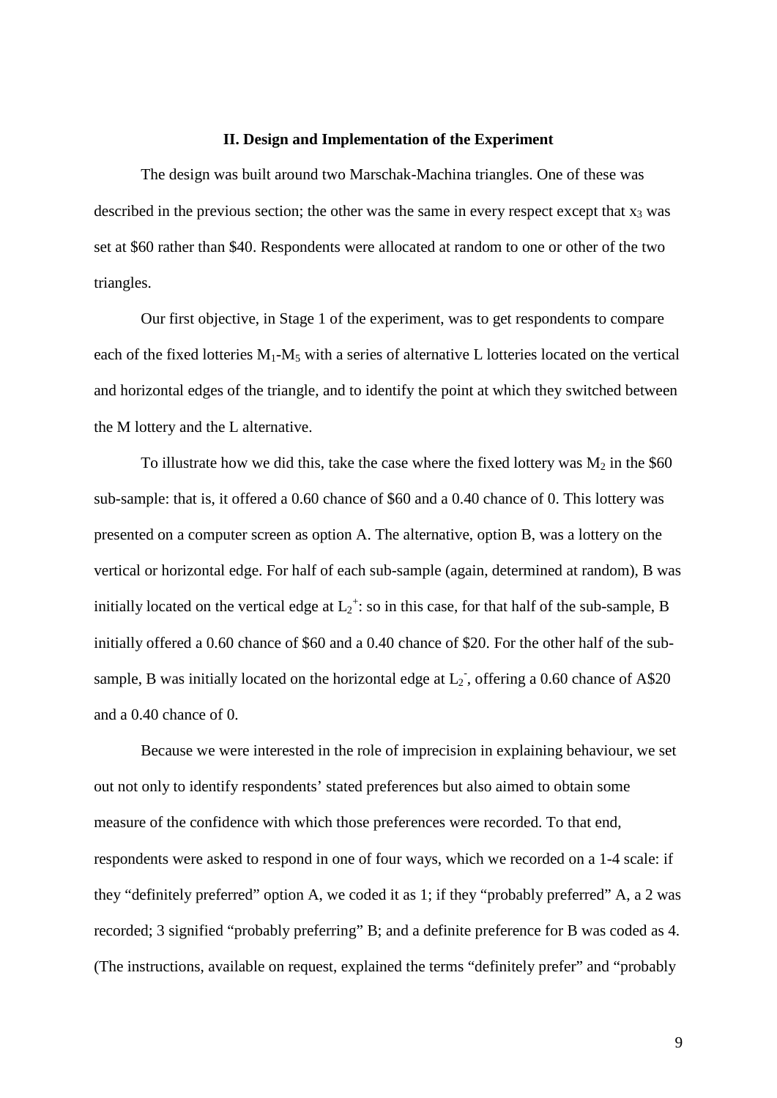#### **II. Design and Implementation of the Experiment**

The design was built around two Marschak-Machina triangles. One of these was described in the previous section; the other was the same in every respect except that  $x_3$  was set at \$60 rather than \$40. Respondents were allocated at random to one or other of the two triangles.

Our first objective, in Stage 1 of the experiment, was to get respondents to compare each of the fixed lotteries  $M_1-M_5$  with a series of alternative L lotteries located on the vertical and horizontal edges of the triangle, and to identify the point at which they switched between the M lottery and the L alternative.

To illustrate how we did this, take the case where the fixed lottery was  $M_2$  in the \$60 sub-sample: that is, it offered a 0.60 chance of \$60 and a 0.40 chance of 0. This lottery was presented on a computer screen as option A. The alternative, option B, was a lottery on the vertical or horizontal edge. For half of each sub-sample (again, determined at random), B was initially located on the vertical edge at  $L_2^+$ : so in this case, for that half of the sub-sample, B initially offered a 0.60 chance of \$60 and a 0.40 chance of \$20. For the other half of the subsample, B was initially located on the horizontal edge at  $L_2$ , offering a 0.60 chance of A\$20 and a 0.40 chance of 0.

Because we were interested in the role of imprecision in explaining behaviour, we set out not only to identify respondents' stated preferences but also aimed to obtain some measure of the confidence with which those preferences were recorded. To that end, respondents were asked to respond in one of four ways, which we recorded on a 1-4 scale: if they "definitely preferred" option A, we coded it as 1; if they "probably preferred" A, a 2 was recorded; 3 signified "probably preferring" B; and a definite preference for B was coded as 4. (The instructions, available on request, explained the terms "definitely prefer" and "probably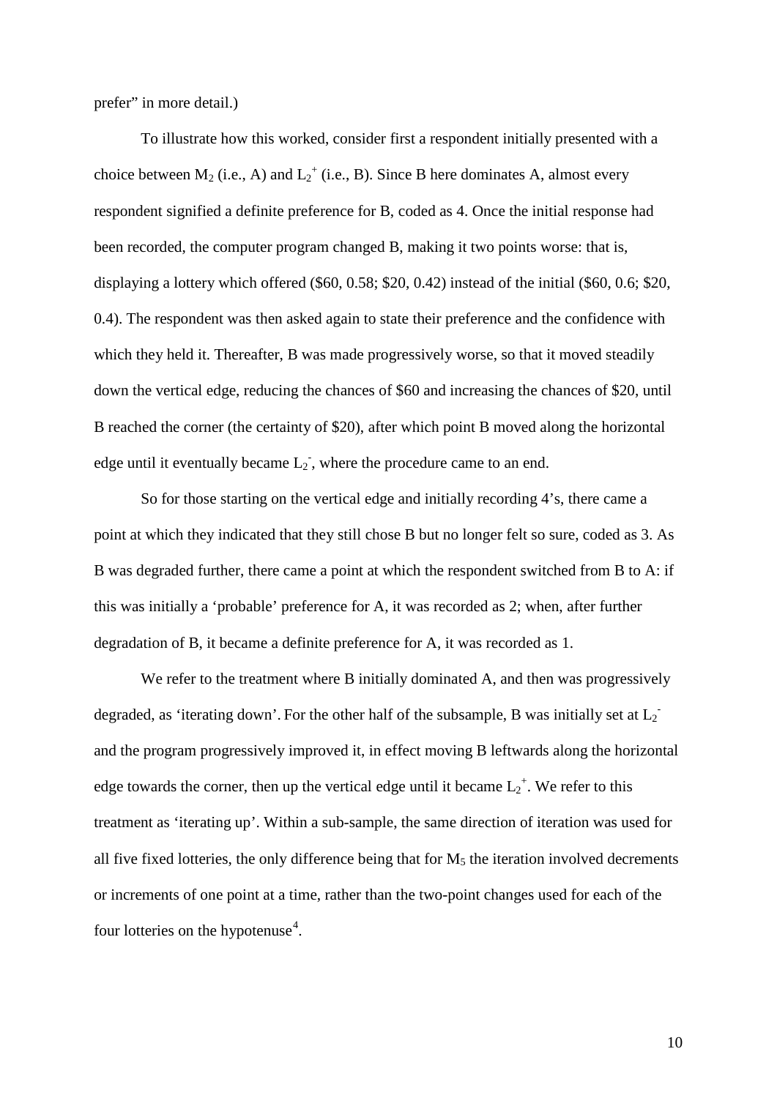prefer" in more detail.)

To illustrate how this worked, consider first a respondent initially presented with a choice between  $M_2$  (i.e., A) and  $L_2^+$  (i.e., B). Since B here dominates A, almost every respondent signified a definite preference for B, coded as 4. Once the initial response had been recorded, the computer program changed B, making it two points worse: that is, displaying a lottery which offered (\$60, 0.58; \$20, 0.42) instead of the initial (\$60, 0.6; \$20, 0.4). The respondent was then asked again to state their preference and the confidence with which they held it. Thereafter, B was made progressively worse, so that it moved steadily down the vertical edge, reducing the chances of \$60 and increasing the chances of \$20, until B reached the corner (the certainty of \$20), after which point B moved along the horizontal edge until it eventually became  $L_2$ , where the procedure came to an end.

So for those starting on the vertical edge and initially recording 4's, there came a point at which they indicated that they still chose B but no longer felt so sure, coded as 3. As B was degraded further, there came a point at which the respondent switched from B to A: if this was initially a 'probable' preference for A, it was recorded as 2; when, after further degradation of B, it became a definite preference for A, it was recorded as 1.

We refer to the treatment where B initially dominated A, and then was progressively degraded, as 'iterating down'. For the other half of the subsample, B was initially set at  $L_2$ and the program progressively improved it, in effect moving B leftwards along the horizontal edge towards the corner, then up the vertical edge until it became  $L_2^+$ . We refer to this treatment as 'iterating up'. Within a sub-sample, the same direction of iteration was used for all five fixed lotteries, the only difference being that for  $M_5$  the iteration involved decrements or increments of one point at a time, rather than the two-point changes used for each of the four lotteries on the hypotenuse<sup>[4](#page-25-3)</sup>.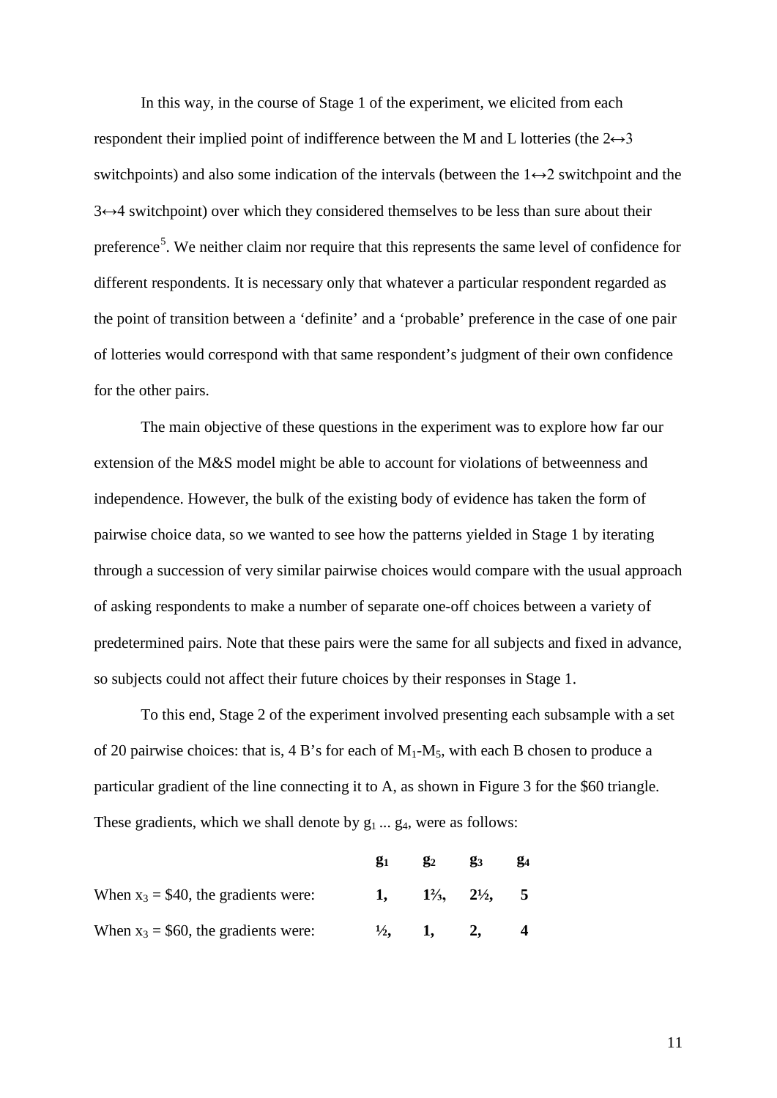In this way, in the course of Stage 1 of the experiment, we elicited from each respondent their implied point of indifference between the M and L lotteries (the  $2 \leftrightarrow 3$ switchpoints) and also some indication of the intervals (between the  $1 \leftrightarrow 2$  switchpoint and the  $3 \leftrightarrow 4$  switchpoint) over which they considered themselves to be less than sure about their preference<sup>[5](#page-25-4)</sup>. We neither claim nor require that this represents the same level of confidence for different respondents. It is necessary only that whatever a particular respondent regarded as the point of transition between a 'definite' and a 'probable' preference in the case of one pair of lotteries would correspond with that same respondent's judgment of their own confidence for the other pairs.

The main objective of these questions in the experiment was to explore how far our extension of the M&S model might be able to account for violations of betweenness and independence. However, the bulk of the existing body of evidence has taken the form of pairwise choice data, so we wanted to see how the patterns yielded in Stage 1 by iterating through a succession of very similar pairwise choices would compare with the usual approach of asking respondents to make a number of separate one-off choices between a variety of predetermined pairs. Note that these pairs were the same for all subjects and fixed in advance, so subjects could not affect their future choices by their responses in Stage 1.

To this end, Stage 2 of the experiment involved presenting each subsample with a set of 20 pairwise choices: that is, 4 B's for each of  $M_1-M_5$ , with each B chosen to produce a particular gradient of the line connecting it to A, as shown in Figure 3 for the \$60 triangle. These gradients, which we shall denote by  $g_1 \dots g_4$ , were as follows:

|                                        | $\mathbf{g}_1$ | $\mathbf{g}_2$                         | $\mathbf{g}_3$ | $\mathbf{g}_4$ |
|----------------------------------------|----------------|----------------------------------------|----------------|----------------|
| When $x_3 = $40$ , the gradients were: |                | 1, $1\frac{2}{3}$ , $2\frac{1}{2}$ , 5 |                |                |
| When $x_3 = $60$ , the gradients were: | $\frac{1}{2}$  | 1. 2.                                  |                |                |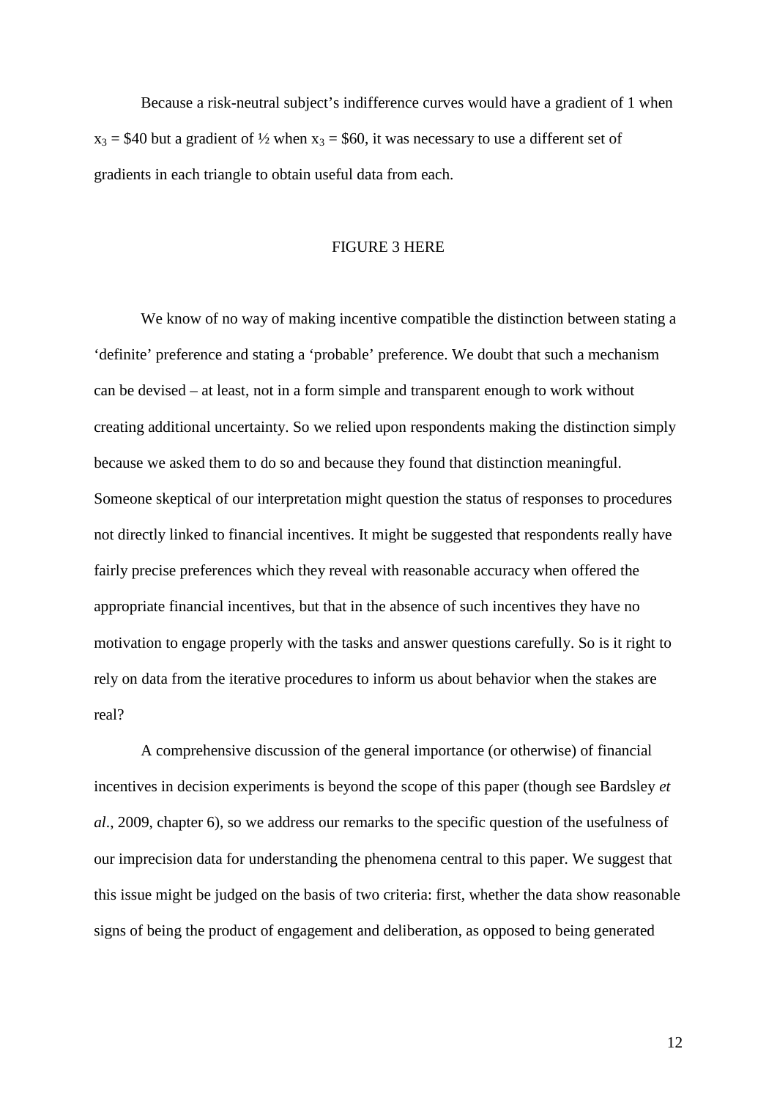Because a risk-neutral subject's indifference curves would have a gradient of 1 when  $x_3 = $40$  but a gradient of  $\frac{1}{2}$  when  $x_3 = $60$ , it was necessary to use a different set of gradients in each triangle to obtain useful data from each.

#### FIGURE 3 HERE

We know of no way of making incentive compatible the distinction between stating a 'definite' preference and stating a 'probable' preference. We doubt that such a mechanism can be devised – at least, not in a form simple and transparent enough to work without creating additional uncertainty. So we relied upon respondents making the distinction simply because we asked them to do so and because they found that distinction meaningful. Someone skeptical of our interpretation might question the status of responses to procedures not directly linked to financial incentives. It might be suggested that respondents really have fairly precise preferences which they reveal with reasonable accuracy when offered the appropriate financial incentives, but that in the absence of such incentives they have no motivation to engage properly with the tasks and answer questions carefully. So is it right to rely on data from the iterative procedures to inform us about behavior when the stakes are real?

A comprehensive discussion of the general importance (or otherwise) of financial incentives in decision experiments is beyond the scope of this paper (though see Bardsley *et al*., 2009, chapter 6), so we address our remarks to the specific question of the usefulness of our imprecision data for understanding the phenomena central to this paper. We suggest that this issue might be judged on the basis of two criteria: first, whether the data show reasonable signs of being the product of engagement and deliberation, as opposed to being generated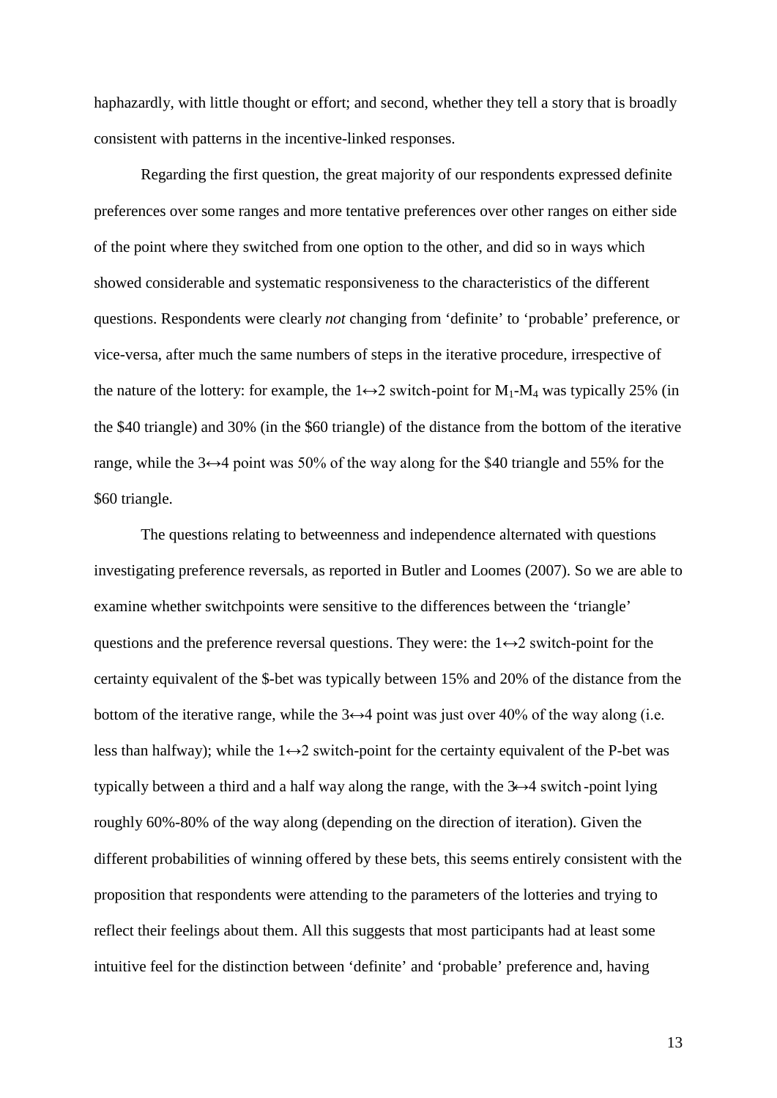haphazardly, with little thought or effort; and second, whether they tell a story that is broadly consistent with patterns in the incentive-linked responses.

Regarding the first question, the great majority of our respondents expressed definite preferences over some ranges and more tentative preferences over other ranges on either side of the point where they switched from one option to the other, and did so in ways which showed considerable and systematic responsiveness to the characteristics of the different questions. Respondents were clearly *not* changing from 'definite' to 'probable' preference, or vice-versa, after much the same numbers of steps in the iterative procedure, irrespective of the nature of the lottery: for example, the  $1 \leftrightarrow 2$  switch-point for  $M_1-M_4$  was typically 25% (in the \$40 triangle) and 30% (in the \$60 triangle) of the distance from the bottom of the iterative range, while the  $3 \leftrightarrow 4$  point was 50% of the way along for the \$40 triangle and 55% for the \$60 triangle.

The questions relating to betweenness and independence alternated with questions investigating preference reversals, as reported in Butler and Loomes (2007). So we are able to examine whether switchpoints were sensitive to the differences between the 'triangle' questions and the preference reversal questions. They were: the  $1 \leftrightarrow 2$  switch-point for the certainty equivalent of the \$-bet was typically between 15% and 20% of the distance from the bottom of the iterative range, while the  $3 \leftrightarrow 4$  point was just over 40% of the way along (i.e. less than halfway); while the  $1 \leftrightarrow 2$  switch-point for the certainty equivalent of the P-bet was typically between a third and a half way along the range, with the  $3 \rightarrow 4$  switch-point lying roughly 60%-80% of the way along (depending on the direction of iteration). Given the different probabilities of winning offered by these bets, this seems entirely consistent with the proposition that respondents were attending to the parameters of the lotteries and trying to reflect their feelings about them. All this suggests that most participants had at least some intuitive feel for the distinction between 'definite' and 'probable' preference and, having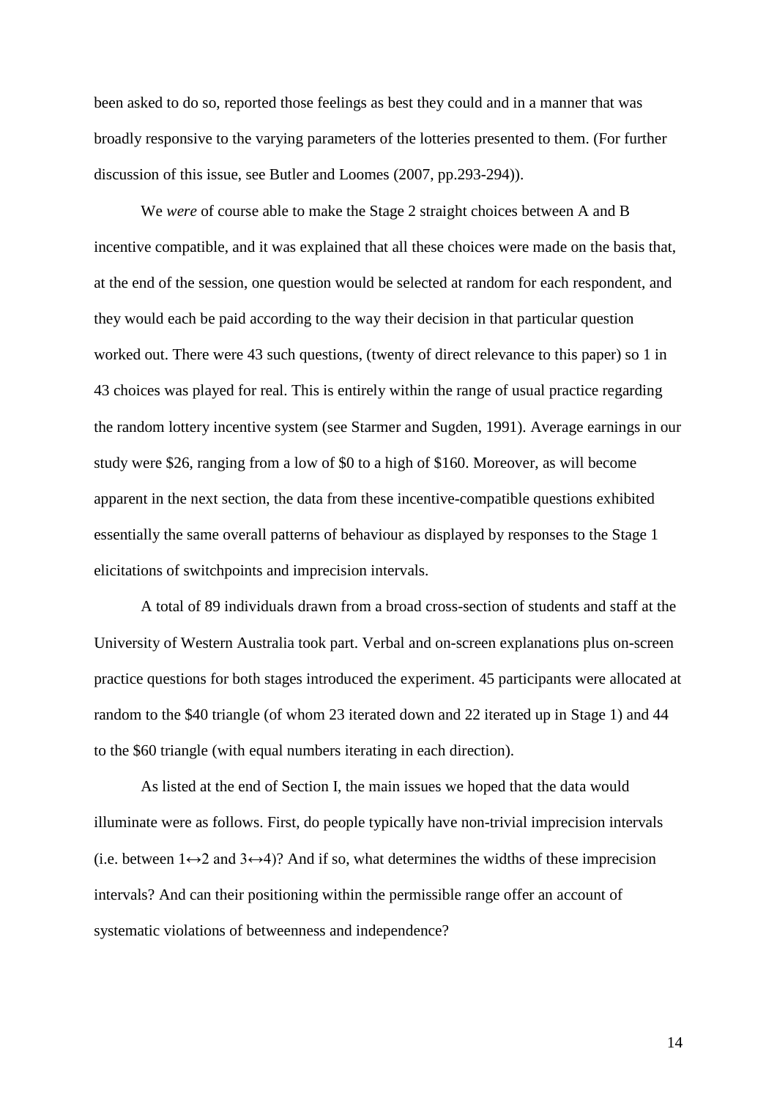been asked to do so, reported those feelings as best they could and in a manner that was broadly responsive to the varying parameters of the lotteries presented to them. (For further discussion of this issue, see Butler and Loomes (2007, pp.293-294)).

We *were* of course able to make the Stage 2 straight choices between A and B incentive compatible, and it was explained that all these choices were made on the basis that, at the end of the session, one question would be selected at random for each respondent, and they would each be paid according to the way their decision in that particular question worked out. There were 43 such questions, (twenty of direct relevance to this paper) so 1 in 43 choices was played for real. This is entirely within the range of usual practice regarding the random lottery incentive system (see Starmer and Sugden, 1991). Average earnings in our study were \$26, ranging from a low of \$0 to a high of \$160. Moreover, as will become apparent in the next section, the data from these incentive-compatible questions exhibited essentially the same overall patterns of behaviour as displayed by responses to the Stage 1 elicitations of switchpoints and imprecision intervals.

A total of 89 individuals drawn from a broad cross-section of students and staff at the University of Western Australia took part. Verbal and on-screen explanations plus on-screen practice questions for both stages introduced the experiment. 45 participants were allocated at random to the \$40 triangle (of whom 23 iterated down and 22 iterated up in Stage 1) and 44 to the \$60 triangle (with equal numbers iterating in each direction).

As listed at the end of Section I, the main issues we hoped that the data would illuminate were as follows. First, do people typically have non-trivial imprecision intervals (i.e. between  $1 \leftrightarrow 2$  and  $3 \leftrightarrow 4$ )? And if so, what determines the widths of these imprecision intervals? And can their positioning within the permissible range offer an account of systematic violations of betweenness and independence?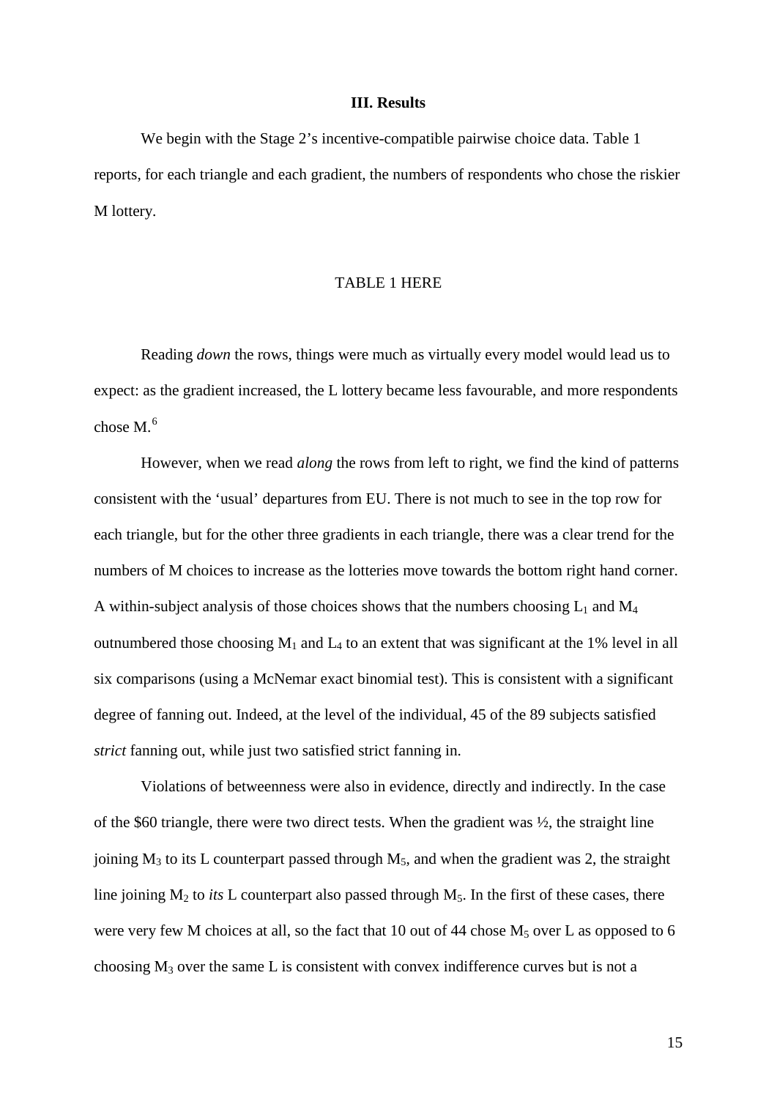#### **III. Results**

We begin with the Stage 2's incentive-compatible pairwise choice data. Table 1 reports, for each triangle and each gradient, the numbers of respondents who chose the riskier M lottery.

# TABLE 1 HERE

Reading *down* the rows, things were much as virtually every model would lead us to expect: as the gradient increased, the L lottery became less favourable, and more respondents chose M.[6](#page-25-5)

However, when we read *along* the rows from left to right, we find the kind of patterns consistent with the 'usual' departures from EU. There is not much to see in the top row for each triangle, but for the other three gradients in each triangle, there was a clear trend for the numbers of M choices to increase as the lotteries move towards the bottom right hand corner. A within-subject analysis of those choices shows that the numbers choosing  $L_1$  and  $M_4$ outnumbered those choosing  $M_1$  and  $L_4$  to an extent that was significant at the 1% level in all six comparisons (using a McNemar exact binomial test). This is consistent with a significant degree of fanning out. Indeed, at the level of the individual, 45 of the 89 subjects satisfied *strict* fanning out, while just two satisfied strict fanning in.

Violations of betweenness were also in evidence, directly and indirectly. In the case of the \$60 triangle, there were two direct tests. When the gradient was  $\frac{1}{2}$ , the straight line joining  $M_3$  to its L counterpart passed through  $M_5$ , and when the gradient was 2, the straight line joining  $M_2$  to *its* L counterpart also passed through  $M_5$ . In the first of these cases, there were very few M choices at all, so the fact that 10 out of 44 chose  $M_5$  over L as opposed to 6 choosing  $M_3$  over the same L is consistent with convex indifference curves but is not a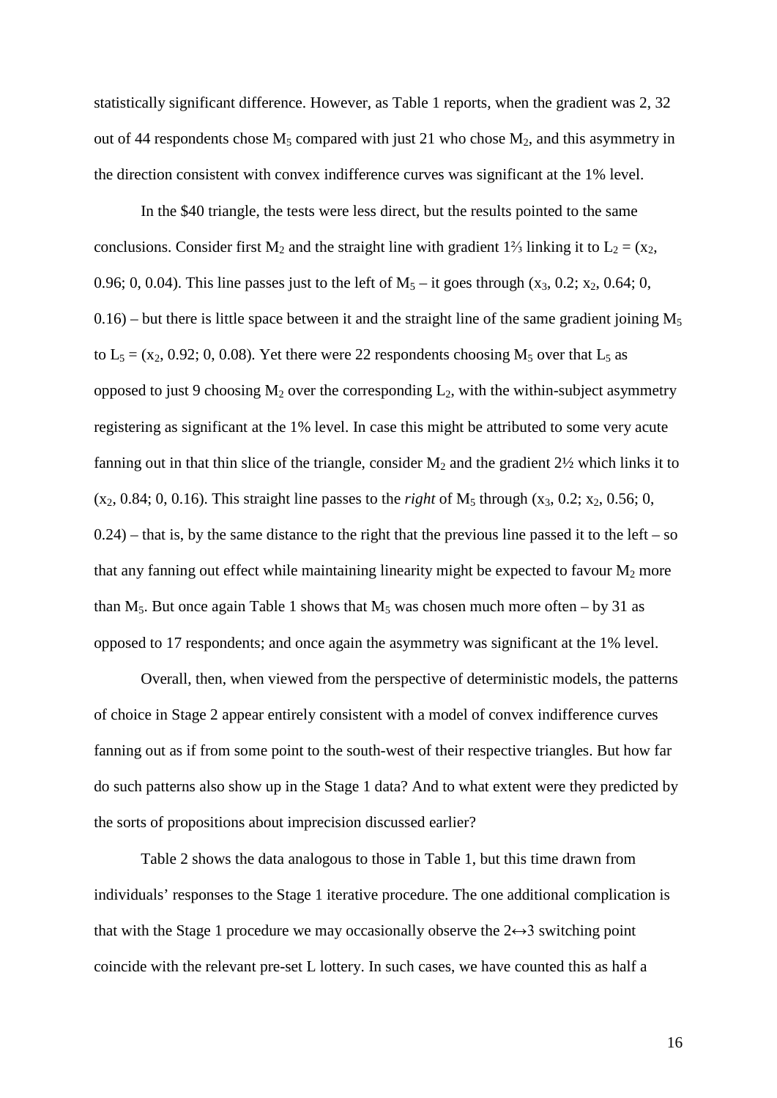statistically significant difference. However, as Table 1 reports, when the gradient was 2, 32 out of 44 respondents chose  $M_5$  compared with just 21 who chose  $M_2$ , and this asymmetry in the direction consistent with convex indifference curves was significant at the 1% level.

In the \$40 triangle, the tests were less direct, but the results pointed to the same conclusions. Consider first M<sub>2</sub> and the straight line with gradient 1<sup>2</sup>/<sub>3</sub> linking it to L<sub>2</sub> = (x<sub>2</sub>, 0.96; 0, 0.04). This line passes just to the left of  $M_5$  – it goes through  $(x_3, 0.2; x_2, 0.64; 0, 0.4)$  $0.16$  – but there is little space between it and the straight line of the same gradient joining  $M_5$ to  $L_5 = (x_2, 0.92; 0, 0.08)$ . Yet there were 22 respondents choosing  $M_5$  over that  $L_5$  as opposed to just 9 choosing  $M_2$  over the corresponding  $L_2$ , with the within-subject asymmetry registering as significant at the 1% level. In case this might be attributed to some very acute fanning out in that thin slice of the triangle, consider  $M_2$  and the gradient  $2\frac{1}{2}$  which links it to  $(x_2, 0.84; 0, 0.16)$ . This straight line passes to the *right* of M<sub>5</sub> through  $(x_3, 0.2; x_2, 0.56; 0,$  $(0.24)$  – that is, by the same distance to the right that the previous line passed it to the left – so that any fanning out effect while maintaining linearity might be expected to favour  $M_2$  more than M<sub>5</sub>. But once again Table 1 shows that M<sub>5</sub> was chosen much more often – by 31 as opposed to 17 respondents; and once again the asymmetry was significant at the 1% level.

Overall, then, when viewed from the perspective of deterministic models, the patterns of choice in Stage 2 appear entirely consistent with a model of convex indifference curves fanning out as if from some point to the south-west of their respective triangles. But how far do such patterns also show up in the Stage 1 data? And to what extent were they predicted by the sorts of propositions about imprecision discussed earlier?

Table 2 shows the data analogous to those in Table 1, but this time drawn from individuals' responses to the Stage 1 iterative procedure. The one additional complication is that with the Stage 1 procedure we may occasionally observe the  $2 \leftrightarrow 3$  switching point coincide with the relevant pre-set L lottery. In such cases, we have counted this as half a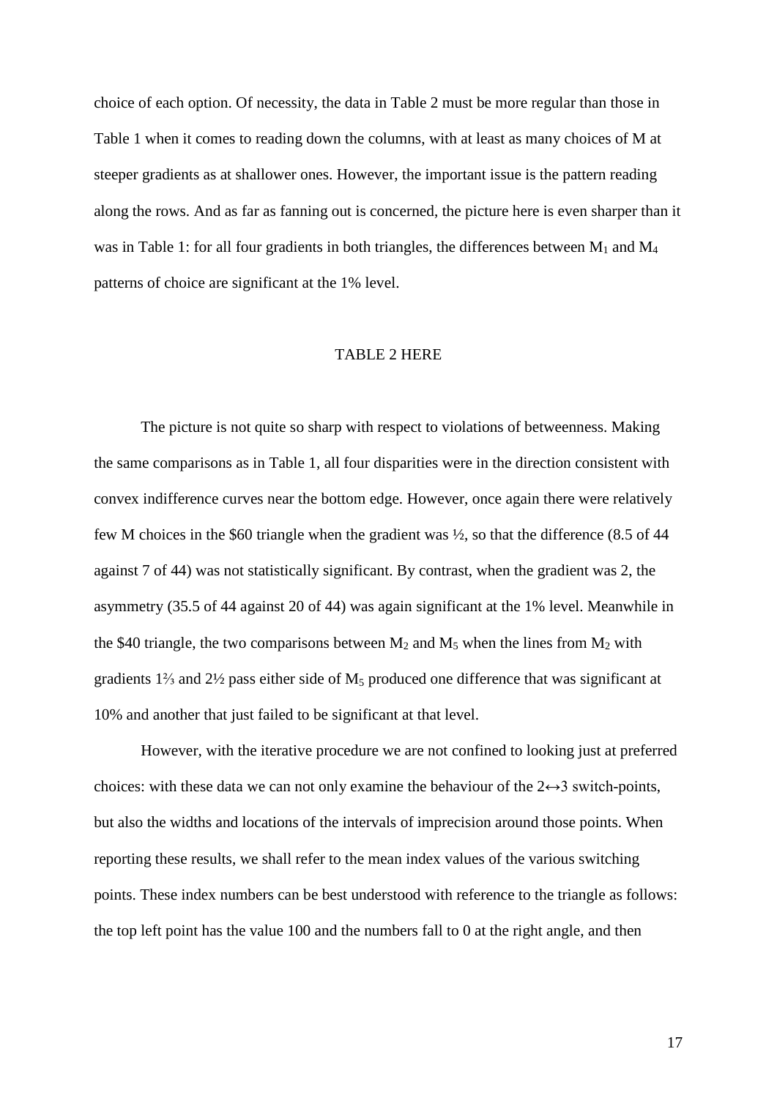choice of each option. Of necessity, the data in Table 2 must be more regular than those in Table 1 when it comes to reading down the columns, with at least as many choices of M at steeper gradients as at shallower ones. However, the important issue is the pattern reading along the rows. And as far as fanning out is concerned, the picture here is even sharper than it was in Table 1: for all four gradients in both triangles, the differences between  $M_1$  and  $M_4$ patterns of choice are significant at the 1% level.

### TABLE 2 HERE

The picture is not quite so sharp with respect to violations of betweenness. Making the same comparisons as in Table 1, all four disparities were in the direction consistent with convex indifference curves near the bottom edge. However, once again there were relatively few M choices in the \$60 triangle when the gradient was ½, so that the difference (8.5 of 44 against 7 of 44) was not statistically significant. By contrast, when the gradient was 2, the asymmetry (35.5 of 44 against 20 of 44) was again significant at the 1% level. Meanwhile in the \$40 triangle, the two comparisons between  $M_2$  and  $M_5$  when the lines from  $M_2$  with gradients 1⅔ and 2½ pass either side of M5 produced one difference that was significant at 10% and another that just failed to be significant at that level.

However, with the iterative procedure we are not confined to looking just at preferred choices: with these data we can not only examine the behaviour of the  $2 \leftrightarrow 3$  switch-points, but also the widths and locations of the intervals of imprecision around those points. When reporting these results, we shall refer to the mean index values of the various switching points. These index numbers can be best understood with reference to the triangle as follows: the top left point has the value 100 and the numbers fall to 0 at the right angle, and then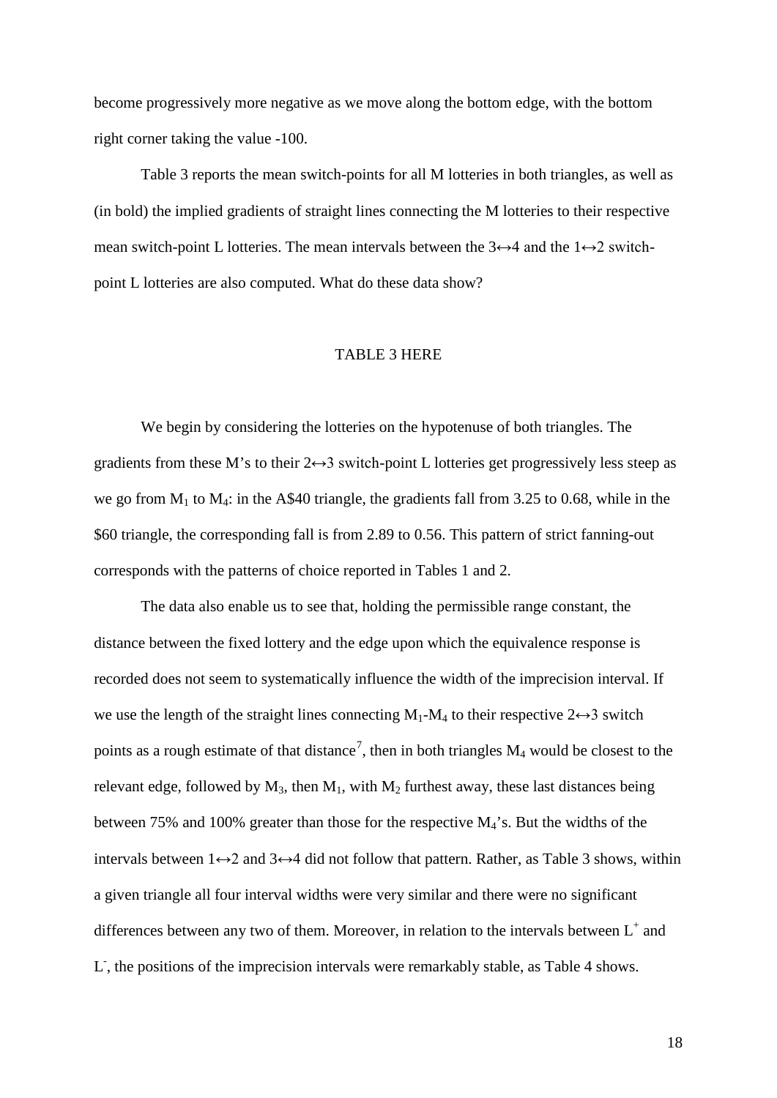become progressively more negative as we move along the bottom edge, with the bottom right corner taking the value -100.

Table 3 reports the mean switch-points for all M lotteries in both triangles, as well as (in bold) the implied gradients of straight lines connecting the M lotteries to their respective mean switch-point L lotteries. The mean intervals between the  $3 \leftrightarrow 4$  and the  $1 \leftrightarrow 2$  switchpoint L lotteries are also computed. What do these data show?

#### TABLE 3 HERE

We begin by considering the lotteries on the hypotenuse of both triangles. The gradients from these M's to their  $2 \leftrightarrow 3$  switch-point L lotteries get progressively less steep as we go from  $M_1$  to  $M_4$ : in the A\$40 triangle, the gradients fall from 3.25 to 0.68, while in the \$60 triangle, the corresponding fall is from 2.89 to 0.56. This pattern of strict fanning-out corresponds with the patterns of choice reported in Tables 1 and 2.

The data also enable us to see that, holding the permissible range constant, the distance between the fixed lottery and the edge upon which the equivalence response is recorded does not seem to systematically influence the width of the imprecision interval. If we use the length of the straight lines connecting  $M_1-M_4$  to their respective  $2 \leftrightarrow 3$  switch points as a rough estimate of that distance<sup>[7](#page-25-6)</sup>, then in both triangles  $M_4$  would be closest to the relevant edge, followed by  $M_3$ , then  $M_1$ , with  $M_2$  furthest away, these last distances being between 75% and 100% greater than those for the respective  $M_4$ 's. But the widths of the intervals between  $1 \leftrightarrow 2$  and  $3 \leftrightarrow 4$  did not follow that pattern. Rather, as Table 3 shows, within a given triangle all four interval widths were very similar and there were no significant differences between any two of them. Moreover, in relation to the intervals between  $L^+$  and L, the positions of the imprecision intervals were remarkably stable, as Table 4 shows.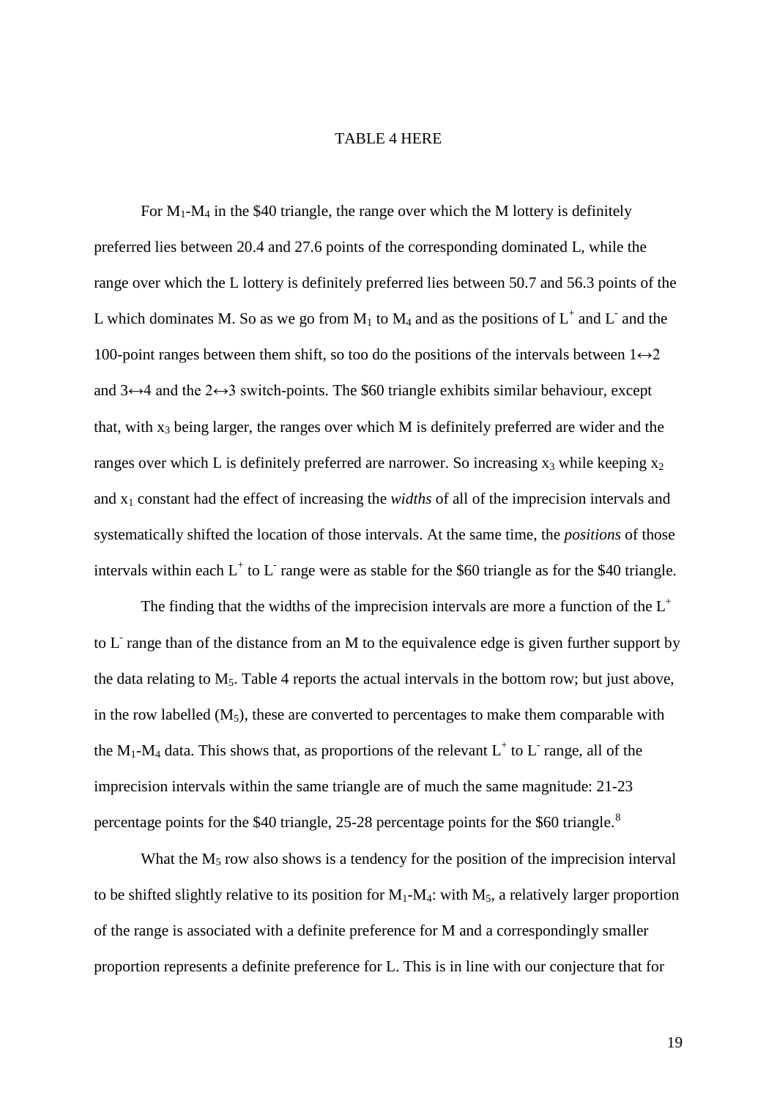# TABLE 4 HERE

For  $M_1-M_4$  in the \$40 triangle, the range over which the M lottery is definitely preferred lies between 20.4 and 27.6 points of the corresponding dominated L, while the range over which the L lottery is definitely preferred lies between 50.7 and 56.3 points of the L which dominates M. So as we go from  $M_1$  to  $M_4$  and as the positions of  $L^+$  and  $L^-$  and the 100-point ranges between them shift, so too do the positions of the intervals between  $1 \leftrightarrow 2$ and  $3 \leftrightarrow 4$  and the  $2 \leftrightarrow 3$  switch-points. The \$60 triangle exhibits similar behaviour, except that, with  $x_3$  being larger, the ranges over which M is definitely preferred are wider and the ranges over which L is definitely preferred are narrower. So increasing  $x_3$  while keeping  $x_2$ and x1 constant had the effect of increasing the *widths* of all of the imprecision intervals and systematically shifted the location of those intervals. At the same time, the *positions* of those intervals within each  $L^+$  to  $L^-$  range were as stable for the \$60 triangle as for the \$40 triangle.

The finding that the widths of the imprecision intervals are more a function of the  $L^+$ to L<sup>-</sup> range than of the distance from an M to the equivalence edge is given further support by the data relating to  $M_5$ . Table 4 reports the actual intervals in the bottom row; but just above, in the row labelled  $(M_5)$ , these are converted to percentages to make them comparable with the M<sub>1</sub>-M<sub>4</sub> data. This shows that, as proportions of the relevant  $L^+$  to  $L^-$  range, all of the imprecision intervals within the same triangle are of much the same magnitude: 21-23 percentage points for the \$40 triangle, 25-2[8](#page-25-7) percentage points for the \$60 triangle.<sup>8</sup>

What the  $M_5$  row also shows is a tendency for the position of the imprecision interval to be shifted slightly relative to its position for  $M_1-M_4$ : with  $M_5$ , a relatively larger proportion of the range is associated with a definite preference for M and a correspondingly smaller proportion represents a definite preference for L. This is in line with our conjecture that for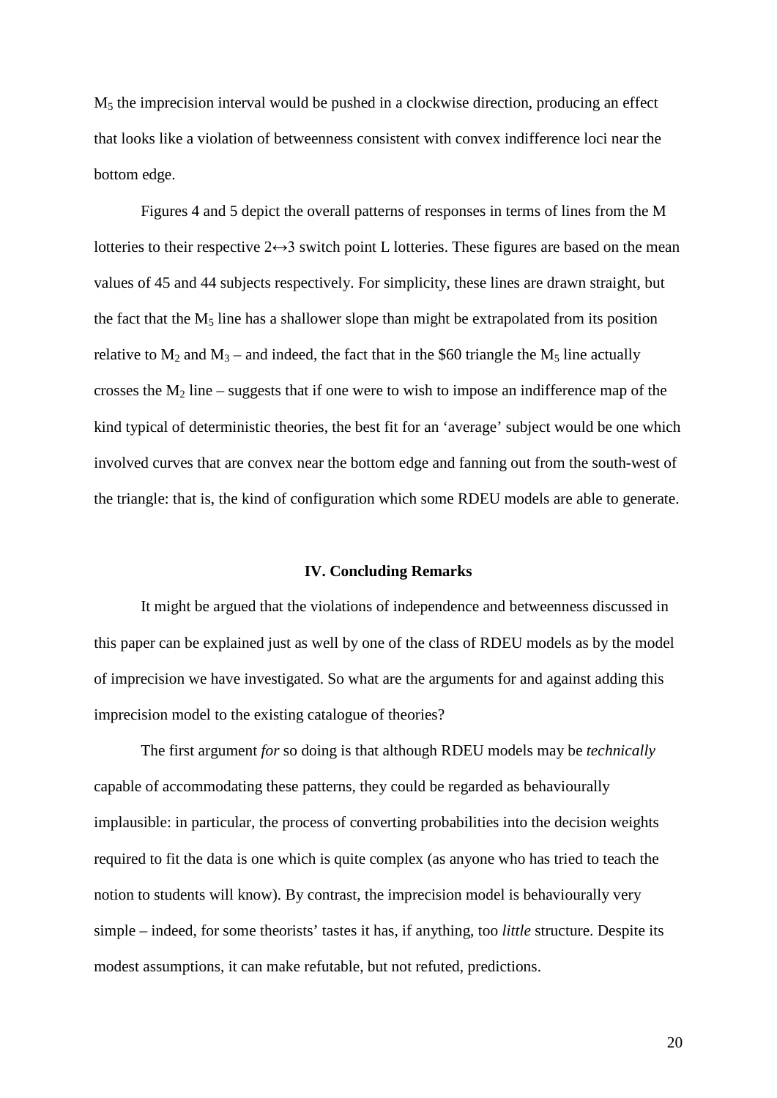M5 the imprecision interval would be pushed in a clockwise direction, producing an effect that looks like a violation of betweenness consistent with convex indifference loci near the bottom edge.

Figures 4 and 5 depict the overall patterns of responses in terms of lines from the M lotteries to their respective  $2 \leftrightarrow 3$  switch point L lotteries. These figures are based on the mean values of 45 and 44 subjects respectively. For simplicity, these lines are drawn straight, but the fact that the  $M_5$  line has a shallower slope than might be extrapolated from its position relative to  $M_2$  and  $M_3$  – and indeed, the fact that in the \$60 triangle the  $M_5$  line actually crosses the  $M_2$  line – suggests that if one were to wish to impose an indifference map of the kind typical of deterministic theories, the best fit for an 'average' subject would be one which involved curves that are convex near the bottom edge and fanning out from the south-west of the triangle: that is, the kind of configuration which some RDEU models are able to generate.

#### **IV. Concluding Remarks**

It might be argued that the violations of independence and betweenness discussed in this paper can be explained just as well by one of the class of RDEU models as by the model of imprecision we have investigated. So what are the arguments for and against adding this imprecision model to the existing catalogue of theories?

The first argument *for* so doing is that although RDEU models may be *technically* capable of accommodating these patterns, they could be regarded as behaviourally implausible: in particular, the process of converting probabilities into the decision weights required to fit the data is one which is quite complex (as anyone who has tried to teach the notion to students will know). By contrast, the imprecision model is behaviourally very simple – indeed, for some theorists' tastes it has, if anything, too *little* structure. Despite its modest assumptions, it can make refutable, but not refuted, predictions.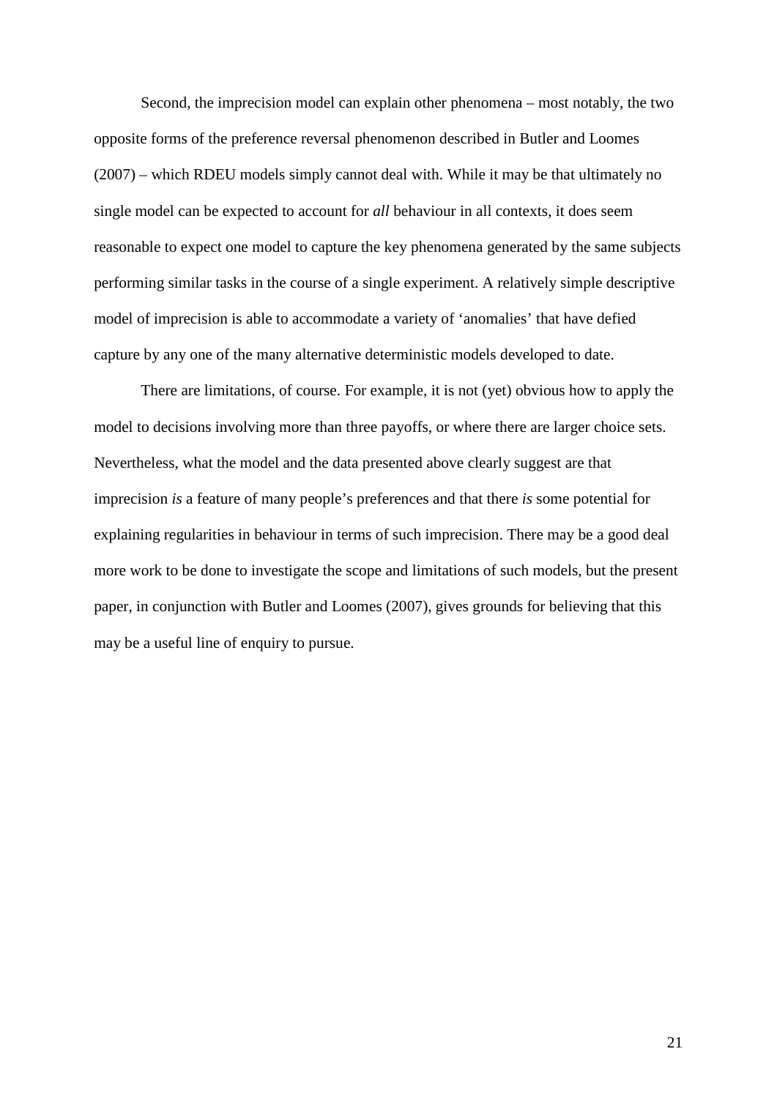Second, the imprecision model can explain other phenomena – most notably, the two opposite forms of the preference reversal phenomenon described in Butler and Loomes (2007) – which RDEU models simply cannot deal with. While it may be that ultimately no single model can be expected to account for *all* behaviour in all contexts, it does seem reasonable to expect one model to capture the key phenomena generated by the same subjects performing similar tasks in the course of a single experiment. A relatively simple descriptive model of imprecision is able to accommodate a variety of 'anomalies' that have defied capture by any one of the many alternative deterministic models developed to date.

There are limitations, of course. For example, it is not (yet) obvious how to apply the model to decisions involving more than three payoffs, or where there are larger choice sets. Nevertheless, what the model and the data presented above clearly suggest are that imprecision *is* a feature of many people's preferences and that there *is* some potential for explaining regularities in behaviour in terms of such imprecision. There may be a good deal more work to be done to investigate the scope and limitations of such models, but the present paper, in conjunction with Butler and Loomes (2007), gives grounds for believing that this may be a useful line of enquiry to pursue.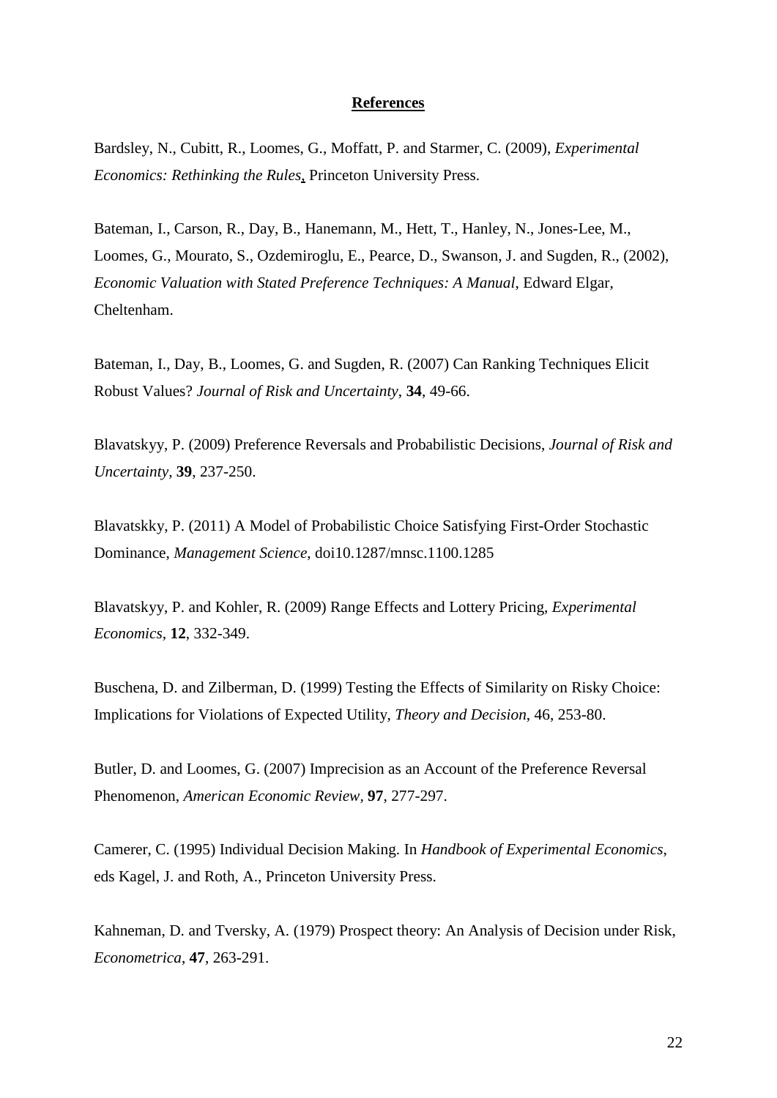### **References**

Bardsley, N., Cubitt, R., Loomes, G., Moffatt, P. and Starmer, C. (2009), *Experimental Economics: Rethinking the Rules*, Princeton University Press.

Bateman, I., Carson, R., Day, B., Hanemann, M., Hett, T., Hanley, N., Jones-Lee, M., Loomes, G., Mourato, S., Ozdemiroglu, E., Pearce, D., Swanson, J. and Sugden, R., (2002), *Economic Valuation with Stated Preference Techniques: A Manual*, Edward Elgar, Cheltenham.

Bateman, I., Day, B., Loomes, G. and Sugden, R. (2007) Can Ranking Techniques Elicit Robust Values? *Journal of Risk and Uncertainty*, **34**, 49-66.

Blavatskyy, P. (2009) Preference Reversals and Probabilistic Decisions, *Journal of Risk and Uncertainty*, **39**, 237-250.

Blavatskky, P. (2011) A Model of Probabilistic Choice Satisfying First-Order Stochastic Dominance, *Management Science*, doi10.1287/mnsc.1100.1285

Blavatskyy, P. and Kohler, R. (2009) Range Effects and Lottery Pricing, *Experimental Economics*, **12**, 332-349.

Buschena, D. and Zilberman, D. (1999) Testing the Effects of Similarity on Risky Choice: Implications for Violations of Expected Utility, *Theory and Decision*, 46, 253-80.

Butler, D. and Loomes, G. (2007) Imprecision as an Account of the Preference Reversal Phenomenon, *American Economic Review,* **97**, 277-297.

Camerer, C. (1995) Individual Decision Making. In *Handbook of Experimental Economics*, eds Kagel, J. and Roth, A., Princeton University Press.

Kahneman, D. and Tversky, A. (1979) Prospect theory: An Analysis of Decision under Risk, *Econometrica*, **47**, 263-291.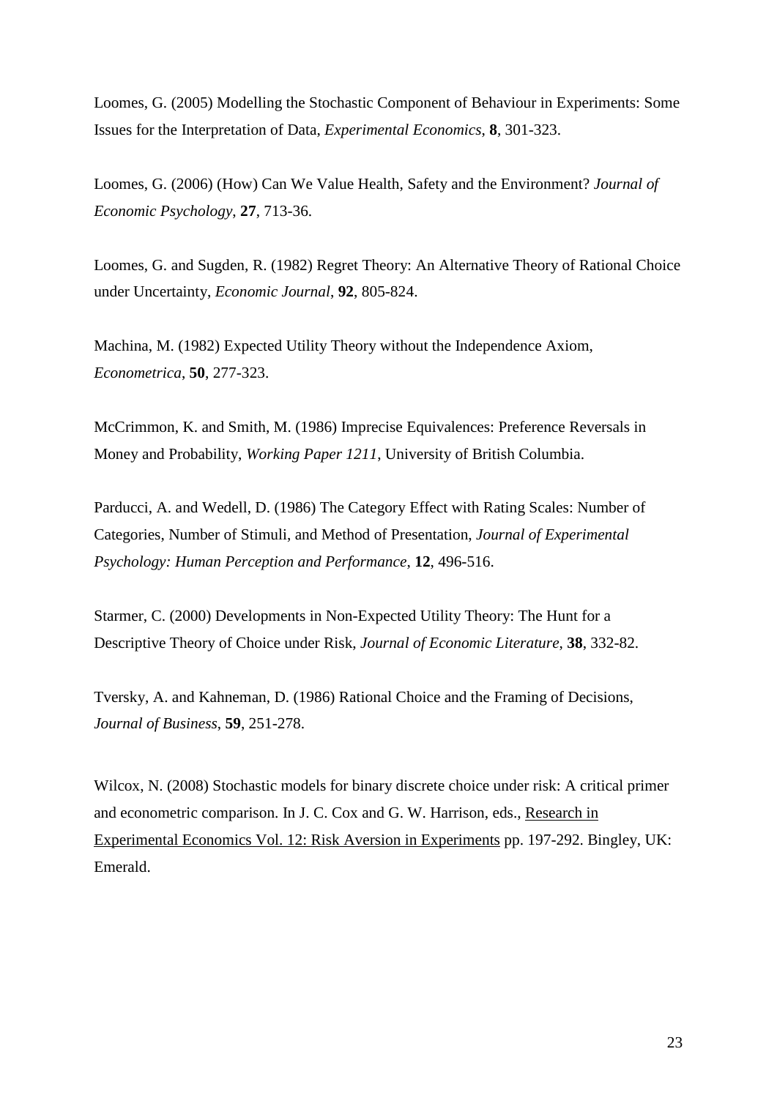Loomes, G. (2005) Modelling the Stochastic Component of Behaviour in Experiments: Some Issues for the Interpretation of Data, *Experimental Economics*, **8**, 301-323.

Loomes, G. (2006) (How) Can We Value Health, Safety and the Environment? *Journal of Economic Psychology*, **27**, 713-36.

Loomes, G. and Sugden, R. (1982) Regret Theory: An Alternative Theory of Rational Choice under Uncertainty, *Economic Journal*, **92**, 805-824.

Machina, M. (1982) Expected Utility Theory without the Independence Axiom, *Econometrica*, **50**, 277-323.

McCrimmon, K. and Smith, M. (1986) Imprecise Equivalences: Preference Reversals in Money and Probability, *Working Paper 1211*, University of British Columbia.

Parducci, A. and Wedell, D. (1986) The Category Effect with Rating Scales: Number of Categories, Number of Stimuli, and Method of Presentation, *Journal of Experimental Psychology: Human Perception and Performance*, **12**, 496-516.

Starmer, C. (2000) Developments in Non-Expected Utility Theory: The Hunt for a Descriptive Theory of Choice under Risk, *Journal of Economic Literature*, **38**, 332-82.

Tversky, A. and Kahneman, D. (1986) Rational Choice and the Framing of Decisions, *Journal of Business*, **59**, 251-278.

Wilcox, N. (2008) Stochastic models for binary discrete choice under risk: A critical primer and econometric comparison. In J. C. Cox and G. W. Harrison, eds., Research in Experimental Economics Vol. 12: Risk Aversion in Experiments pp. 197-292. Bingley, UK: Emerald.